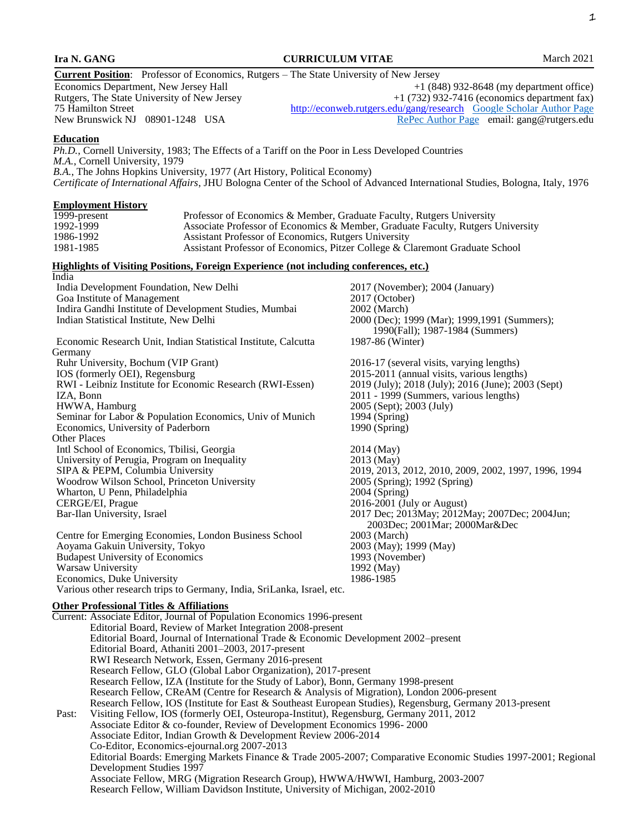|                                                                                                                                                                                                                                                                                                                                                                                                                                                         | <b>Current Position:</b> Professor of Economics, Rutgers - The State University of New Jersey                                                                                                                                                                                                                                                     |                                                                                                                  |  |
|---------------------------------------------------------------------------------------------------------------------------------------------------------------------------------------------------------------------------------------------------------------------------------------------------------------------------------------------------------------------------------------------------------------------------------------------------------|---------------------------------------------------------------------------------------------------------------------------------------------------------------------------------------------------------------------------------------------------------------------------------------------------------------------------------------------------|------------------------------------------------------------------------------------------------------------------|--|
|                                                                                                                                                                                                                                                                                                                                                                                                                                                         | Economics Department, New Jersey Hall                                                                                                                                                                                                                                                                                                             | $+1$ (848) 932-8648 (my department office)                                                                       |  |
|                                                                                                                                                                                                                                                                                                                                                                                                                                                         | Rutgers, The State University of New Jersey                                                                                                                                                                                                                                                                                                       | $+1$ (732) 932-7416 (economics department fax)                                                                   |  |
|                                                                                                                                                                                                                                                                                                                                                                                                                                                         | 75 Hamilton Street<br>New Brunswick NJ 08901-1248 USA                                                                                                                                                                                                                                                                                             | http://econweb.rutgers.edu/gang/research Google Scholar Author Page<br>RePec Author Page email: gang@rutgers.edu |  |
|                                                                                                                                                                                                                                                                                                                                                                                                                                                         |                                                                                                                                                                                                                                                                                                                                                   |                                                                                                                  |  |
| <b>Education</b>                                                                                                                                                                                                                                                                                                                                                                                                                                        | Ph.D., Cornell University, 1983; The Effects of a Tariff on the Poor in Less Developed Countries<br>M.A., Cornell University, 1979<br>B.A., The Johns Hopkins University, 1977 (Art History, Political Economy)<br>Certificate of International Affairs, JHU Bologna Center of the School of Advanced International Studies, Bologna, Italy, 1976 |                                                                                                                  |  |
|                                                                                                                                                                                                                                                                                                                                                                                                                                                         |                                                                                                                                                                                                                                                                                                                                                   |                                                                                                                  |  |
|                                                                                                                                                                                                                                                                                                                                                                                                                                                         | <b>Employment History</b>                                                                                                                                                                                                                                                                                                                         |                                                                                                                  |  |
| $1999$ -present<br>1992-1999                                                                                                                                                                                                                                                                                                                                                                                                                            | Professor of Economics & Member, Graduate Faculty, Rutgers University                                                                                                                                                                                                                                                                             | Associate Professor of Economics & Member, Graduate Faculty, Rutgers University                                  |  |
| 1986-1992                                                                                                                                                                                                                                                                                                                                                                                                                                               | Assistant Professor of Economics, Rutgers University                                                                                                                                                                                                                                                                                              |                                                                                                                  |  |
| 1981-1985                                                                                                                                                                                                                                                                                                                                                                                                                                               |                                                                                                                                                                                                                                                                                                                                                   | Assistant Professor of Economics, Pitzer College & Claremont Graduate School                                     |  |
| India                                                                                                                                                                                                                                                                                                                                                                                                                                                   | Highlights of Visiting Positions, Foreign Experience (not including conferences, etc.)                                                                                                                                                                                                                                                            |                                                                                                                  |  |
|                                                                                                                                                                                                                                                                                                                                                                                                                                                         | India Development Foundation, New Delhi                                                                                                                                                                                                                                                                                                           | 2017 (November); 2004 (January)                                                                                  |  |
|                                                                                                                                                                                                                                                                                                                                                                                                                                                         | Goa Institute of Management                                                                                                                                                                                                                                                                                                                       | 2017 (October)                                                                                                   |  |
|                                                                                                                                                                                                                                                                                                                                                                                                                                                         | Indira Gandhi Institute of Development Studies, Mumbai                                                                                                                                                                                                                                                                                            | 2002 (March)                                                                                                     |  |
|                                                                                                                                                                                                                                                                                                                                                                                                                                                         | Indian Statistical Institute, New Delhi                                                                                                                                                                                                                                                                                                           | 2000 (Dec); 1999 (Mar); 1999, 1991 (Summers);                                                                    |  |
|                                                                                                                                                                                                                                                                                                                                                                                                                                                         |                                                                                                                                                                                                                                                                                                                                                   | 1990(Fall); 1987-1984 (Summers)                                                                                  |  |
| Germany                                                                                                                                                                                                                                                                                                                                                                                                                                                 | Economic Research Unit, Indian Statistical Institute, Calcutta                                                                                                                                                                                                                                                                                    | 1987-86 (Winter)                                                                                                 |  |
|                                                                                                                                                                                                                                                                                                                                                                                                                                                         | Ruhr University, Bochum (VIP Grant)                                                                                                                                                                                                                                                                                                               | 2016-17 (several visits, varying lengths)                                                                        |  |
|                                                                                                                                                                                                                                                                                                                                                                                                                                                         | IOS (formerly OEI), Regensburg                                                                                                                                                                                                                                                                                                                    | 2015-2011 (annual visits, various lengths)                                                                       |  |
|                                                                                                                                                                                                                                                                                                                                                                                                                                                         | RWI - Leibniz Institute for Economic Research (RWI-Essen)                                                                                                                                                                                                                                                                                         | 2019 (July); 2018 (July); 2016 (June); 2003 (Sept)                                                               |  |
| IZA, Bonn                                                                                                                                                                                                                                                                                                                                                                                                                                               |                                                                                                                                                                                                                                                                                                                                                   | 2011 - 1999 (Summers, various lengths)                                                                           |  |
|                                                                                                                                                                                                                                                                                                                                                                                                                                                         | HWWA, Hamburg<br>Seminar for Labor & Population Economics, Univ of Munich                                                                                                                                                                                                                                                                         | 2005 (Sept); 2003 (July)<br>1994 (Spring)                                                                        |  |
|                                                                                                                                                                                                                                                                                                                                                                                                                                                         | Economics, University of Paderborn                                                                                                                                                                                                                                                                                                                | 1990 (Spring)                                                                                                    |  |
| <b>Other Places</b>                                                                                                                                                                                                                                                                                                                                                                                                                                     |                                                                                                                                                                                                                                                                                                                                                   |                                                                                                                  |  |
|                                                                                                                                                                                                                                                                                                                                                                                                                                                         | Intl School of Economics, Tbilisi, Georgia                                                                                                                                                                                                                                                                                                        | 2014 (May)                                                                                                       |  |
|                                                                                                                                                                                                                                                                                                                                                                                                                                                         | University of Perugia, Program on Inequality                                                                                                                                                                                                                                                                                                      | 2013 (May)                                                                                                       |  |
|                                                                                                                                                                                                                                                                                                                                                                                                                                                         | SIPA & PEPM, Columbia University                                                                                                                                                                                                                                                                                                                  | 2019, 2013, 2012, 2010, 2009, 2002, 1997, 1996, 1994                                                             |  |
|                                                                                                                                                                                                                                                                                                                                                                                                                                                         | Woodrow Wilson School, Princeton University<br>Wharton, U Penn, Philadelphia                                                                                                                                                                                                                                                                      | 2005 (Spring); 1992 (Spring)<br>2004 (Spring)                                                                    |  |
|                                                                                                                                                                                                                                                                                                                                                                                                                                                         | CERGE/EI, Prague                                                                                                                                                                                                                                                                                                                                  | 2016-2001 (July or August)                                                                                       |  |
|                                                                                                                                                                                                                                                                                                                                                                                                                                                         | Bar-Ilan University, Israel                                                                                                                                                                                                                                                                                                                       | 2017 Dec; 2013May; 2012May; 2007Dec; 2004Jun;<br>2003Dec; 2001Mar; 2000Mar&Dec                                   |  |
|                                                                                                                                                                                                                                                                                                                                                                                                                                                         | Centre for Emerging Economies, London Business School                                                                                                                                                                                                                                                                                             | 2003 (March)                                                                                                     |  |
|                                                                                                                                                                                                                                                                                                                                                                                                                                                         | Aoyama Gakuin University, Tokyo                                                                                                                                                                                                                                                                                                                   | 2003 (May); 1999 (May)                                                                                           |  |
|                                                                                                                                                                                                                                                                                                                                                                                                                                                         | <b>Budapest University of Economics</b><br>Warsaw University                                                                                                                                                                                                                                                                                      | 1993 (November)<br>1992 (May)                                                                                    |  |
|                                                                                                                                                                                                                                                                                                                                                                                                                                                         | Economics, Duke University                                                                                                                                                                                                                                                                                                                        | 1986-1985                                                                                                        |  |
|                                                                                                                                                                                                                                                                                                                                                                                                                                                         | Various other research trips to Germany, India, SriLanka, Israel, etc.                                                                                                                                                                                                                                                                            |                                                                                                                  |  |
|                                                                                                                                                                                                                                                                                                                                                                                                                                                         | <b>Other Professional Titles &amp; Affiliations</b>                                                                                                                                                                                                                                                                                               |                                                                                                                  |  |
|                                                                                                                                                                                                                                                                                                                                                                                                                                                         | Current: Associate Editor, Journal of Population Economics 1996-present                                                                                                                                                                                                                                                                           |                                                                                                                  |  |
|                                                                                                                                                                                                                                                                                                                                                                                                                                                         | Editorial Board, Review of Market Integration 2008-present                                                                                                                                                                                                                                                                                        |                                                                                                                  |  |
|                                                                                                                                                                                                                                                                                                                                                                                                                                                         | Editorial Board, Journal of International Trade & Economic Development 2002–present                                                                                                                                                                                                                                                               |                                                                                                                  |  |
|                                                                                                                                                                                                                                                                                                                                                                                                                                                         | Editorial Board, Athaniti 2001-2003, 2017-present<br>RWI Research Network, Essen, Germany 2016-present                                                                                                                                                                                                                                            |                                                                                                                  |  |
|                                                                                                                                                                                                                                                                                                                                                                                                                                                         | Research Fellow, GLO (Global Labor Organization), 2017-present                                                                                                                                                                                                                                                                                    |                                                                                                                  |  |
|                                                                                                                                                                                                                                                                                                                                                                                                                                                         | Research Fellow, IZA (Institute for the Study of Labor), Bonn, Germany 1998-present                                                                                                                                                                                                                                                               |                                                                                                                  |  |
| Research Fellow, CReAM (Centre for Research & Analysis of Migration), London 2006-present<br>Research Fellow, IOS (Institute for East & Southeast European Studies), Regensburg, Germany 2013-present<br>Visiting Fellow, IOS (formerly OEI, Osteuropa-Institut), Regensburg, Germany 2011, 2012<br>Past:<br>Associate Editor & co-founder, Review of Development Economics 1996-2000<br>Associate Editor, Indian Growth & Development Review 2006-2014 |                                                                                                                                                                                                                                                                                                                                                   |                                                                                                                  |  |
|                                                                                                                                                                                                                                                                                                                                                                                                                                                         |                                                                                                                                                                                                                                                                                                                                                   |                                                                                                                  |  |
|                                                                                                                                                                                                                                                                                                                                                                                                                                                         |                                                                                                                                                                                                                                                                                                                                                   |                                                                                                                  |  |
|                                                                                                                                                                                                                                                                                                                                                                                                                                                         |                                                                                                                                                                                                                                                                                                                                                   |                                                                                                                  |  |
| Co-Editor, Economics-ejournal.org 2007-2013                                                                                                                                                                                                                                                                                                                                                                                                             |                                                                                                                                                                                                                                                                                                                                                   |                                                                                                                  |  |
| Editorial Boards: Emerging Markets Finance & Trade 2005-2007; Comparative Economic Studies 1997-2001; Regional                                                                                                                                                                                                                                                                                                                                          |                                                                                                                                                                                                                                                                                                                                                   |                                                                                                                  |  |
| Development Studies 1997                                                                                                                                                                                                                                                                                                                                                                                                                                |                                                                                                                                                                                                                                                                                                                                                   |                                                                                                                  |  |
|                                                                                                                                                                                                                                                                                                                                                                                                                                                         | Associate Fellow, MRG (Migration Research Group), HWWA/HWWI, Hamburg, 2003-2007                                                                                                                                                                                                                                                                   |                                                                                                                  |  |
|                                                                                                                                                                                                                                                                                                                                                                                                                                                         | Research Fellow, William Davidson Institute, University of Michigan, 2002-2010                                                                                                                                                                                                                                                                    |                                                                                                                  |  |
|                                                                                                                                                                                                                                                                                                                                                                                                                                                         |                                                                                                                                                                                                                                                                                                                                                   |                                                                                                                  |  |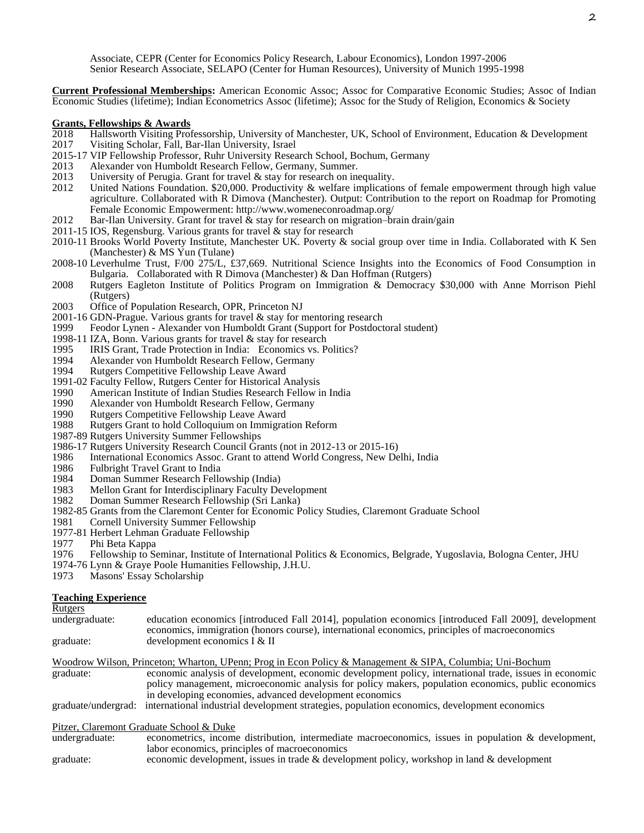Associate, CEPR (Center for Economics Policy Research, Labour Economics), London 1997-2006 Senior Research Associate, SELAPO (Center for Human Resources), University of Munich 1995-1998

**Current Professional Memberships:** American Economic Assoc; Assoc for Comparative Economic Studies; Assoc of Indian Economic Studies (lifetime); Indian Econometrics Assoc (lifetime); Assoc for the Study of Religion, Economics & Society

# **Grants, Fellowships & Awards**<br>2018 **Hallsworth Visiting Prof**

- 2018 Hallsworth Visiting Professorship, University of Manchester, UK, School of Environment, Education & Development
- Visiting Scholar, Fall, Bar-Ilan University, Israel
- 2015-17 VIP Fellowship Professor, Ruhr University Research School, Bochum, Germany
- 2013 Alexander von Humboldt Research Fellow, Germany, Summer.<br>2013 University of Perugia. Grant for travel & stay for research on ine
- 2013 University of Perugia. Grant for travel  $\&$  stay for research on inequality.<br>2012 United Nations Foundation. \$20,000. Productivity  $\&$  welfare implicatio
- United Nations Foundation. \$20,000. Productivity  $\&$  welfare implications of female empowerment through high value agriculture. Collaborated with R Dimova (Manchester). Output: Contribution to the report on Roadmap for Promoting Female Economic Empowerment: http://www.womeneconroadmap.org/
- 2012 Bar-Ilan University. Grant for travel  $\&$  stay for research on migration–brain drain/gain
- 2011-15 IOS, Regensburg. Various grants for travel & stay for research
- 2010-11 Brooks World Poverty Institute, Manchester UK. Poverty & social group over time in India. Collaborated with K Sen (Manchester) & MS Yun (Tulane)
- 2008-10 Leverhulme Trust, F/00 275/L, £37,669. Nutritional Science Insights into the Economics of Food Consumption in Bulgaria. Collaborated with R Dimova (Manchester) & Dan Hoffman (Rutgers)
- 2008 Rutgers Eagleton Institute of Politics Program on Immigration & Democracy \$30,000 with Anne Morrison Piehl (Rutgers)
- 2003 Office of Population Research, OPR, Princeton NJ
- 2001-16 GDN-Prague. Various grants for travel & stay for mentoring research<br>1999 Feodor Lynen Alexander von Humboldt Grant (Support for Postdoct
- Feodor Lynen Alexander von Humboldt Grant (Support for Postdoctoral student)
- 1998-11 IZA, Bonn. Various grants for travel & stay for research
- 1995 IRIS Grant, Trade Protection in India: Economics vs. Politics?<br>1994 Alexander von Humboldt Research Fellow, Germany
- 1994 Alexander von Humboldt Research Fellow, Germany<br>1994 Rutgers Competitive Fellowship Leave Award
- Rutgers Competitive Fellowship Leave Award
- 1991-02 Faculty Fellow, Rutgers Center for Historical Analysis<br>1990 – American Institute of Indian Studies Research Fellow i
- American Institute of Indian Studies Research Fellow in India
- 1990 Alexander von Humboldt Research Fellow, Germany
- 1990 Rutgers Competitive Fellowship Leave Award<br>1988 Rutgers Grant to hold Colloquium on Immigrat
- Rutgers Grant to hold Colloquium on Immigration Reform
- 1987-89 Rutgers University Summer Fellowships
- 1986-17 Rutgers University Research Council Grants (not in 2012-13 or 2015-16)
- 1986 International Economics Assoc. Grant to attend World Congress, New Delhi, India
- 1986 Fulbright Travel Grant to India
- 1984 Doman Summer Research Fellowship (India)<br>1983 Mellon Grant for Interdisciplinary Faculty De
- Mellon Grant for Interdisciplinary Faculty Development
- 1982 Doman Summer Research Fellowship (Sri Lanka)
- 1982-85 Grants from the Claremont Center for Economic Policy Studies, Claremont Graduate School
- Cornell University Summer Fellowship
- 1977-81 Herbert Lehman Graduate Fellowship
- 1977 Phi Beta Kappa<br>1976 Fellowship to So
- 1976 Fellowship to Seminar, Institute of International Politics & Economics, Belgrade, Yugoslavia, Bologna Center, JHU
- 1974-76 Lynn & Graye Poole Humanities Fellowship, J.H.U.
- 1973 Masons' Essay Scholarship

#### **Teaching Experience**

Rutgers<br>undergraduate:

| unuvi graugat.      | culcation economics   introduced I all 2014], population economics   introduced I all 2007], development<br>economics, immigration (honors course), international economics, principles of macroeconomics |
|---------------------|-----------------------------------------------------------------------------------------------------------------------------------------------------------------------------------------------------------|
| graduate:           | development economics I & II                                                                                                                                                                              |
|                     | Woodrow Wilson, Princeton; Wharton, UPenn; Prog in Econ Policy & Management & SIPA, Columbia; Uni-Bochum                                                                                                  |
| graduate:           | economic analysis of development, economic development policy, international trade, issues in economic                                                                                                    |
|                     | policy management, microeconomic analysis for policy makers, population economics, public economics                                                                                                       |
|                     | in developing economies, advanced development economics                                                                                                                                                   |
| graduate/undergrad: | international industrial development strategies, population economics, development economics                                                                                                              |
|                     | Pitzer, Claremont Graduate School & Duke                                                                                                                                                                  |
| undergraduate:      | econometrics, income distribution, intermediate macroeconomics, issues in population & development,                                                                                                       |
|                     | labor economics, principles of macroeconomics                                                                                                                                                             |
|                     |                                                                                                                                                                                                           |

undergraduate: education economics [introduced Fall 2014], population economics [introduced Fall 2009], development

graduate: economic development, issues in trade & development policy, workshop in land & development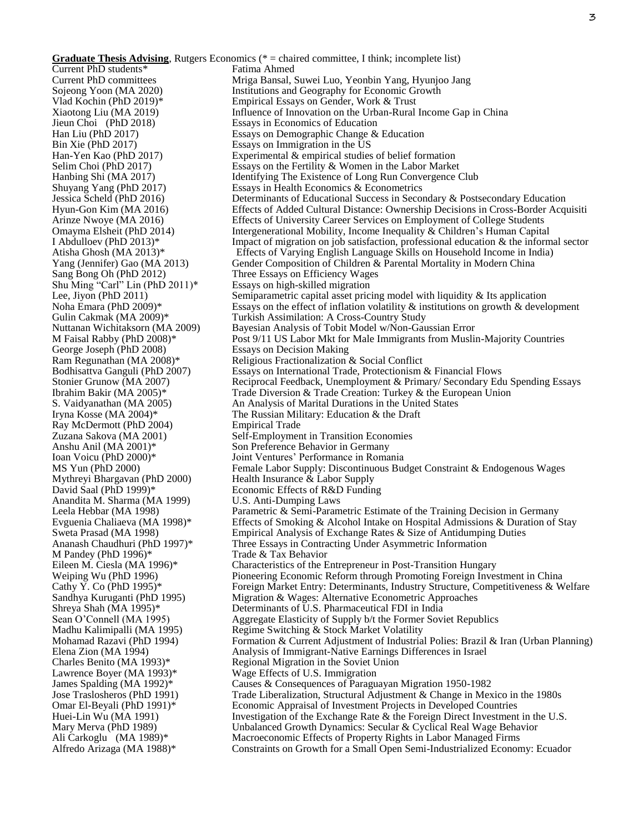**Graduate Thesis Advising**, Rutgers Economics (\* = chaired committee, I think; incomplete list) Current PhD students\* Current PhD committees Sojeong Yoon (MA 2020) Vlad Kochin (PhD 2019)\* Xiaotong Liu (MA 2019) Jieun Choi (PhD 2018) Han Liu (PhD 2017) Bin Xie (PhD 2017) Han-Yen Kao (PhD 2017) Selim Choi (PhD 2017) Hanbing Shi (MA 2017) Shuyang Yang (PhD 2017) Jessica Scheld (PhD 2016) Hyun-Gon Kim (MA 2016) Arinze Nwoye (MA 2016) Omayma Elsheit (PhD 2014) I Abdulloev (PhD 2013)\* Atisha Ghosh (MA 2013)\* Yang (Jennifer) Gao (MA 2013) Sang Bong Oh (PhD 2012) Shu Ming "Carl" Lin (PhD 2011)\* Lee, Jiyon (PhD 2011) Noha Emara (PhD 2009)\* Gulin Cakmak (MA 2009)\* Nuttanan Wichitaksorn (MA 2009) M Faisal Rabby (PhD 2008)\* George Joseph (PhD 2008) Ram Regunathan (MA 2008)\* Bodhisattva Ganguli (PhD 2007) Stonier Grunow (MA 2007) Ibrahim Bakir (MA 2005)\* S. Vaidyanathan (MA 2005) Iryna Kosse (MA 2004)\* Ray McDermott (PhD 2004) Zuzana Sakova (MA 2001) Anshu Anil (MA 2001)\* Ioan Voicu (PhD 2000)\* MS Yun (PhD 2000) Mythreyi Bhargavan (PhD 2000) David Saal (PhD 1999)\* Anandita M. Sharma (MA 1999) Leela Hebbar (MA 1998) Evguenia Chaliaeva (MA 1998)\* Sweta Prasad (MA 1998) Ananash Chaudhuri (PhD 1997)\* M Pandey (PhD 1996)\* Eileen M. Ciesla (MA 1996)\* Weiping Wu (PhD 1996) Cathy Y. Co (PhD 1995)\* Sandhya Kuruganti (PhD 1995) Shreya Shah (MA 1995)\* Sean O'Connell (MA 1995) Madhu Kalimipalli (MA 1995) Mohamad Razavi (PhD 1994) Elena Zion (MA 1994) Charles Benito (MA 1993)\* Lawrence Boyer (MA 1993)\* James Spalding (MA 1992)\* Jose Traslosheros (PhD 1991) Omar El-Beyali (PhD 1991)\* Huei-Lin Wu (MA 1991) Mary Merva (PhD 1989) Ali Carkoglu (MA 1989)\* Alfredo Arizaga (MA 1988)\* Fatima Ahmed Mriga Bansal, Suwei Luo, Yeonbin Yang, Hyunjoo Jang Institutions and Geography for Economic Growth Empirical Essays on Gender, Work & Trust Influence of Innovation on the Urban-Rural Income Gap in China Essays in Economics of Education Essays on Demographic Change & Education Essays on Immigration in the US Experimental & empirical studies of belief formation Essays on the Fertility & Women in the Labor Market Identifying The Existence of Long Run Convergence Club Essays in Health Economics & Econometrics Determinants of Educational Success in Secondary & Postsecondary Education Effects of Added Cultural Distance: Ownership Decisions in Cross-Border Acquisiti Effects of University Career Services on Employment of College Students Intergenerational Mobility, Income Inequality & Children's Human Capital Impact of migration on job satisfaction, professional education & the informal sector Effects of Varying English Language Skills on Household Income in India) Gender Composition of Children & Parental Mortality in Modern China Three Essays on Efficiency Wages Essays on high-skilled migration Semiparametric capital asset pricing model with liquidity & Its application Essays on the effect of inflation volatility  $\&$  institutions on growth  $\&$  development Turkish Assimilation: A Cross-Country Study Bayesian Analysis of Tobit Model w/Non-Gaussian Error Post 9/11 US Labor Mkt for Male Immigrants from Muslin-Majority Countries Essays on Decision Making Religious Fractionalization & Social Conflict Essays on International Trade, Protectionism & Financial Flows Reciprocal Feedback, Unemployment & Primary/ Secondary Edu Spending Essays Trade Diversion & Trade Creation: Turkey & the European Union An Analysis of Marital Durations in the United States The Russian Military: Education & the Draft Empirical Trade Self-Employment in Transition Economies Son Preference Behavior in Germany Joint Ventures' Performance in Romania Female Labor Supply: Discontinuous Budget Constraint & Endogenous Wages Health Insurance & Labor Supply Economic Effects of R&D Funding U.S. Anti-Dumping Laws Parametric & Semi-Parametric Estimate of the Training Decision in Germany Effects of Smoking & Alcohol Intake on Hospital Admissions & Duration of Stay Empirical Analysis of Exchange Rates & Size of Antidumping Duties Three Essays in Contracting Under Asymmetric Information Trade & Tax Behavior Characteristics of the Entrepreneur in Post-Transition Hungary Pioneering Economic Reform through Promoting Foreign Investment in China Foreign Market Entry: Determinants, Industry Structure, Competitiveness & Welfare Migration & Wages: Alternative Econometric Approaches Determinants of U.S. Pharmaceutical FDI in India Aggregate Elasticity of Supply b/t the Former Soviet Republics Regime Switching & Stock Market Volatility Formation & Current Adjustment of Industrial Polies: Brazil & Iran (Urban Planning) Analysis of Immigrant-Native Earnings Differences in Israel Regional Migration in the Soviet Union Wage Effects of U.S. Immigration Causes & Consequences of Paraguayan Migration 1950-1982 Trade Liberalization, Structural Adjustment & Change in Mexico in the 1980s Economic Appraisal of Investment Projects in Developed Countries Investigation of the Exchange Rate & the Foreign Direct Investment in the U.S. Unbalanced Growth Dynamics: Secular & Cyclical Real Wage Behavior Macroeconomic Effects of Property Rights in Labor Managed Firms Constraints on Growth for a Small Open Semi-Industrialized Economy: Ecuador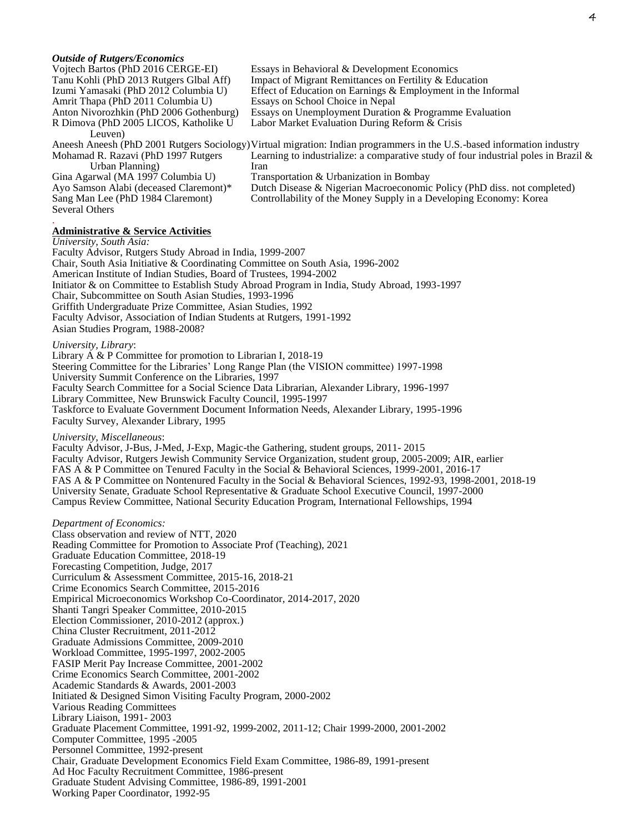| <b>Outside of Rutgers/Economics</b>     |                                                              |
|-----------------------------------------|--------------------------------------------------------------|
| Vojtech Bartos (PhD 2016 CERGE-EI)      | Essays in Behavioral & Development Economics                 |
| Tanu Kohli (PhD 2013 Rutgers Glbal Aff) | Impact of Migrant Remittances on Fertility & Education       |
| Izumi Yamasaki (PhD 2012 Columbia U)    | Effect of Education on Earnings & Employment in the Informal |
| Amrit Thapa (PhD 2011 Columbia U)       | Essays on School Choice in Nepal                             |
| Anton Nivorozhkin (PhD 2006 Gothenburg) | Essays on Unemployment Duration & Programme Evaluation       |

R Dimova (PhD 2005 LICOS, Katholike U Leuven) Aneesh Aneesh (PhD 2001 Rutgers Sociology) Virtual migration: Indian programmers in the U.S.-based information industry Mohamad R. Razavi (PhD 1997 Rutgers Urban Planning) Gina Agarwal (MA 1997 Columbia U) Ayo Samson Alabi (deceased Claremont)\* Labor Market Evaluation During Reform & Crisis Learning to industrialize: a comparative study of four industrial poles in Brazil & Iran Transportation & Urbanization in Bombay Dutch Disease & Nigerian Macroeconomic Policy (PhD diss. not completed)

Controllability of the Money Supply in a Developing Economy: Korea

#### . **Administrative & Service Activities**

Sang Man Lee (PhD 1984 Claremont)

*University, South Asia:*

Several Others

Faculty Advisor, Rutgers Study Abroad in India, 1999-2007 Chair, South Asia Initiative & Coordinating Committee on South Asia, 1996-2002 American Institute of Indian Studies, Board of Trustees, 1994-2002 Initiator & on Committee to Establish Study Abroad Program in India, Study Abroad, 1993-1997 Chair, Subcommittee on South Asian Studies, 1993-1996 Griffith Undergraduate Prize Committee, Asian Studies, 1992 Faculty Advisor, Association of Indian Students at Rutgers, 1991-1992 Asian Studies Program, 1988-2008?

*University, Library*:

Library A & P Committee for promotion to Librarian I, 2018-19 Steering Committee for the Libraries' Long Range Plan (the VISION committee) 1997-1998 University Summit Conference on the Libraries, 1997 Faculty Search Committee for a Social Science Data Librarian, Alexander Library, 1996-1997 Library Committee, New Brunswick Faculty Council, 1995-1997 Taskforce to Evaluate Government Document Information Needs, Alexander Library, 1995-1996 Faculty Survey, Alexander Library, 1995

#### *University, Miscellaneous*:

Faculty Advisor, J-Bus, J-Med, J-Exp, Magic-the Gathering, student groups, 2011- 2015 Faculty Advisor, Rutgers Jewish Community Service Organization, student group, 2005-2009; AIR, earlier FAS A & P Committee on Tenured Faculty in the Social & Behavioral Sciences, 1999-2001, 2016-17 FAS A & P Committee on Nontenured Faculty in the Social & Behavioral Sciences, 1992-93, 1998-2001, 2018-19 University Senate, Graduate School Representative & Graduate School Executive Council, 1997-2000 Campus Review Committee, National Security Education Program, International Fellowships, 1994

#### *Department of Economics:*

Class observation and review of NTT, 2020 Reading Committee for Promotion to Associate Prof (Teaching), 2021 Graduate Education Committee, 2018-19 Forecasting Competition, Judge, 2017 Curriculum & Assessment Committee, 2015-16, 2018-21 Crime Economics Search Committee, 2015-2016 Empirical Microeconomics Workshop Co-Coordinator, 2014-2017, 2020 Shanti Tangri Speaker Committee, 2010-2015 Election Commissioner, 2010-2012 (approx.) China Cluster Recruitment, 2011-2012 Graduate Admissions Committee, 2009-2010 Workload Committee, 1995-1997, 2002-2005 FASIP Merit Pay Increase Committee, 2001-2002 Crime Economics Search Committee, 2001-2002 Academic Standards & Awards, 2001-2003 Initiated & Designed Simon Visiting Faculty Program, 2000-2002 Various Reading Committees Library Liaison, 1991- 2003 Graduate Placement Committee, 1991-92, 1999-2002, 2011-12; Chair 1999-2000, 2001-2002 Computer Committee, 1995 -2005 Personnel Committee, 1992-present Chair, Graduate Development Economics Field Exam Committee, 1986-89, 1991-present Ad Hoc Faculty Recruitment Committee, 1986-present Graduate Student Advising Committee, 1986-89, 1991-2001 Working Paper Coordinator, 1992-95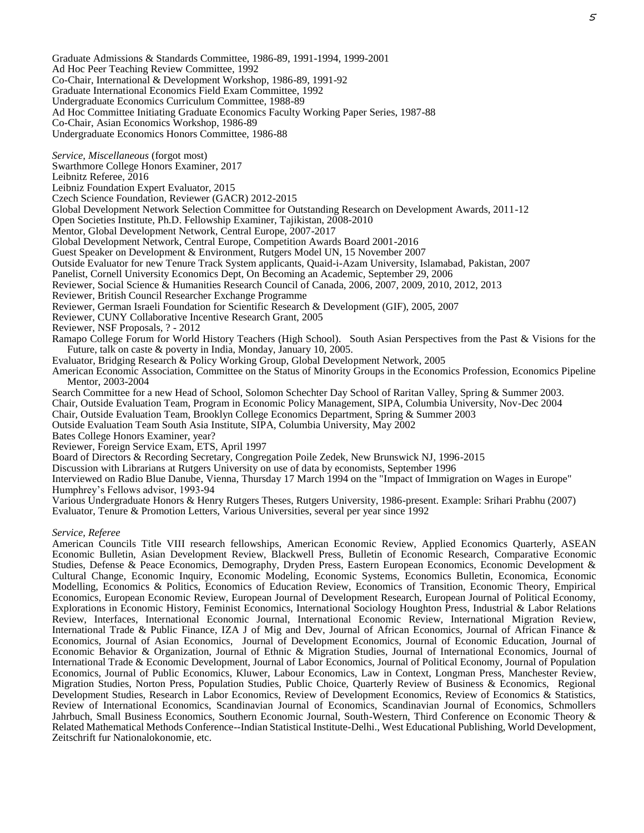Graduate Admissions & Standards Committee, 1986-89, 1991-1994, 1999-2001 Ad Hoc Peer Teaching Review Committee, 1992 Co-Chair, International & Development Workshop, 1986-89, 1991-92 Graduate International Economics Field Exam Committee, 1992 Undergraduate Economics Curriculum Committee, 1988-89 Ad Hoc Committee Initiating Graduate Economics Faculty Working Paper Series, 1987-88 Co-Chair, Asian Economics Workshop, 1986-89 Undergraduate Economics Honors Committee, 1986-88

*Service, Miscellaneous* (forgot most)

Swarthmore College Honors Examiner, 2017

Leibnitz Referee, 2016

Leibniz Foundation Expert Evaluator, 2015

Czech Science Foundation, Reviewer (GACR) 2012-2015

Global Development Network Selection Committee for Outstanding Research on Development Awards, 2011-12

Open Societies Institute, Ph.D. Fellowship Examiner, Tajikistan, 2008-2010

Mentor, Global Development Network, Central Europe, 2007-2017

Global Development Network, Central Europe, Competition Awards Board 2001-2016

Guest Speaker on Development & Environment, Rutgers Model UN, 15 November 2007

Outside Evaluator for new Tenure Track System applicants, Quaid-i-Azam University, Islamabad, Pakistan, 2007

Panelist, Cornell University Economics Dept, On Becoming an Academic, September 29, 2006

Reviewer, Social Science & Humanities Research Council of Canada, 2006, 2007, 2009, 2010, 2012, 2013

Reviewer, British Council Researcher Exchange Programme

Reviewer, German Israeli Foundation for Scientific Research & Development (GIF), 2005, 2007

Reviewer, CUNY Collaborative Incentive Research Grant, 2005

Reviewer, NSF Proposals, ? - 2012

Ramapo College Forum for World History Teachers (High School). South Asian Perspectives from the Past & Visions for the Future, talk on caste & poverty in India, Monday, January 10, 2005.

Evaluator, Bridging Research & Policy Working Group, Global Development Network, 2005

American Economic Association, Committee on the Status of Minority Groups in the Economics Profession, Economics Pipeline Mentor, 2003-2004

Search Committee for a new Head of School, Solomon Schechter Day School of Raritan Valley, Spring & Summer 2003.

Chair, Outside Evaluation Team, Program in Economic Policy Management, SIPA, Columbia University, Nov-Dec 2004

Chair, Outside Evaluation Team, Brooklyn College Economics Department, Spring & Summer 2003

Outside Evaluation Team South Asia Institute, SIPA, Columbia University, May 2002

Bates College Honors Examiner, year?

Reviewer, Foreign Service Exam, ETS, April 1997

Board of Directors & Recording Secretary, Congregation Poile Zedek, New Brunswick NJ, 1996-2015

Discussion with Librarians at Rutgers University on use of data by economists, September 1996

Interviewed on Radio Blue Danube, Vienna, Thursday 17 March 1994 on the "Impact of Immigration on Wages in Europe" Humphrey's Fellows advisor, 1993-94

Various Undergraduate Honors & Henry Rutgers Theses, Rutgers University, 1986-present. Example: Srihari Prabhu (2007) Evaluator, Tenure & Promotion Letters, Various Universities, several per year since 1992

*Service, Referee*

American Councils Title VIII research fellowships, American Economic Review, Applied Economics Quarterly, ASEAN Economic Bulletin, Asian Development Review, Blackwell Press, Bulletin of Economic Research, Comparative Economic Studies, Defense & Peace Economics, Demography, Dryden Press, Eastern European Economics, Economic Development & Cultural Change, Economic Inquiry, Economic Modeling, Economic Systems, Economics Bulletin, Economica, Economic Modelling, Economics & Politics, Economics of Education Review, Economics of Transition, Economic Theory, Empirical Economics, European Economic Review, European Journal of Development Research, European Journal of Political Economy, Explorations in Economic History, Feminist Economics, International Sociology Houghton Press, Industrial & Labor Relations Review, Interfaces, International Economic Journal, International Economic Review, International Migration Review, International Trade & Public Finance, IZA J of Mig and Dev, Journal of African Economics, Journal of African Finance & Economics, Journal of Asian Economics, Journal of Development Economics, Journal of Economic Education, Journal of Economic Behavior & Organization, Journal of Ethnic & Migration Studies, Journal of International Economics, Journal of International Trade & Economic Development, Journal of Labor Economics, Journal of Political Economy, Journal of Population Economics, Journal of Public Economics, Kluwer, Labour Economics, Law in Context, Longman Press, Manchester Review, Migration Studies, Norton Press, Population Studies, Public Choice, Quarterly Review of Business & Economics, Regional Development Studies, Research in Labor Economics, Review of Development Economics, Review of Economics & Statistics, Review of International Economics, Scandinavian Journal of Economics, Scandinavian Journal of Economics, Schmollers Jahrbuch, Small Business Economics, Southern Economic Journal, South-Western, Third Conference on Economic Theory & Related Mathematical Methods Conference--Indian Statistical Institute-Delhi., West Educational Publishing, World Development, Zeitschrift fur Nationalokonomie, etc.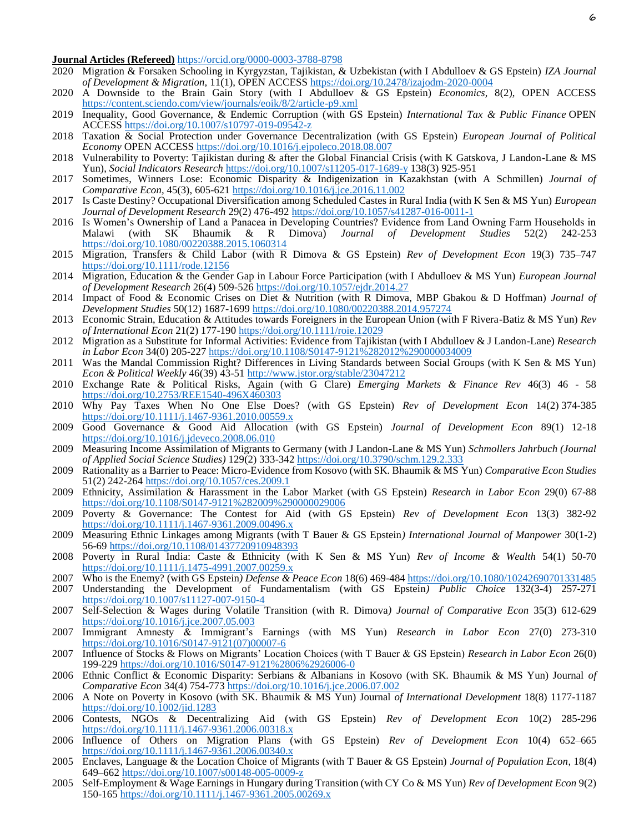# **Journal Articles (Refereed)** <https://orcid.org/0000-0003-3788-8798>

- 2020 Migration & Forsaken Schooling in Kyrgyzstan, Tajikistan, & Uzbekistan (with I Abdulloev & GS Epstein) *IZA Journal of Development & Migration,* 11(1), OPEN ACCESS<https://doi.org/10.2478/izajodm-2020-0004>
- 2020 A Downside to the Brain Gain Story (with I Abdulloev & GS Epstein) *Economics*, 8(2), OPEN ACCESS <https://content.sciendo.com/view/journals/eoik/8/2/article-p9.xml>
- 2019 Inequality, Good Governance, & Endemic Corruption (with GS Epstein) *International Tax & Public Finance* OPEN ACCES[S https://doi.org/10.1007/s10797-019-09542-z](https://doi.org/10.1007/s10797-019-09542-z)
- 2018 Taxation & Social Protection under Governance Decentralization (with GS Epstein) *European Journal of Political Economy* OPEN ACCESS<https://doi.org/10.1016/j.ejpoleco.2018.08.007>
- 2018 Vulnerability to Poverty: Tajikistan during & after the Global Financial Crisis (with K Gatskova, J Landon-Lane & MS Yun), *Social Indicators Research* <https://doi.org/10.1007/s11205-017-1689-y> 138(3) 925-951
- 2017 Sometimes, Winners Lose: Economic Disparity & Indigenization in Kazakhstan (with A Schmillen) *Journal of Comparative Econ,* 45(3), 605-621<https://doi.org/10.1016/j.jce.2016.11.002>
- 2017 Is Caste Destiny? Occupational Diversification among Scheduled Castes in Rural India (with K Sen & MS Yun) *European Journal of Development Research* 29(2) 476-492<https://doi.org/10.1057/s41287-016-0011-1>
- 2016 Is Women's Ownership of Land a Panacea in Developing Countries? Evidence from Land Owning Farm Households in Malawi (with SK Bhaumik & R Dimova) *Journal of Development Studies* 52(2) 242-253 <https://doi.org/10.1080/00220388.2015.1060314>
- 2015 Migration, Transfers & Child Labor (with R Dimova & GS Epstein) *Rev of Development Econ* 19(3) 735–747 <https://doi.org/10.1111/rode.12156>
- 2014 Migration, Education & the Gender Gap in Labour Force Participation (with I Abdulloev & MS Yun) *European Journal of Development Research* 26(4) 509-52[6 https://doi.org/10.1057/ejdr.2014.27](https://doi.org/10.1057/ejdr.2014.27)
- 2014 Impact of Food & Economic Crises on Diet & Nutrition (with R Dimova, MBP Gbakou & D Hoffman) *Journal of Development Studies* 50(12) 1687-1699<https://doi.org/10.1080/00220388.2014.957274>
- 2013 Economic Strain, Education & Attitudes towards Foreigners in the European Union (with F Rivera-Batiz & MS Yun) *Rev of International Econ* 21(2) 177-190<https://doi.org/10.1111/roie.12029>
- 2012 Migration as a Substitute for Informal Activities: Evidence from Tajikistan (with I Abdulloev & J Landon-Lane) *Research in Labor Econ* 34(0) 205-22[7 https://doi.org/10.1108/S0147-9121%282012%290000034009](https://doi.org/10.1108/S0147-9121%282012%290000034009)
- 2011 Was the Mandal Commission Right? Differences in Living Standards between Social Groups (with K Sen & MS Yun) *Econ & Political Weekly* 46(39) 43-51<http://www.jstor.org/stable/23047212>
- 2010 Exchange Rate & Political Risks, Again (with G Clare) *Emerging Markets & Finance Rev* 46(3) 46 58 <https://doi.org/10.2753/REE1540-496X460303>
- 2010 Why Pay Taxes When No One Else Does? (with GS Epstein) *Rev of Development Econ* 14(2) 374-385 <https://doi.org/10.1111/j.1467-9361.2010.00559.x>
- 2009 Good Governance & Good Aid Allocation (with GS Epstein) *Journal of Development Econ* 89(1) 12-18 <https://doi.org/10.1016/j.jdeveco.2008.06.010>
- 2009 Measuring Income Assimilation of Migrants to Germany (with J Landon-Lane & MS Yun) *Schmollers Jahrbuch (Journal of Applied Social Science Studies)* 129(2) 333-34[2 https://doi.org/10.3790/schm.129.2.333](https://doi.org/10.3790/schm.129.2.333)
- 2009 Rationality as a Barrier to Peace: Micro-Evidence from Kosovo (with SK. Bhaumik & MS Yun) *Comparative Econ Studies*  51(2) 242-264<https://doi.org/10.1057/ces.2009.1>
- 2009 Ethnicity, Assimilation & Harassment in the Labor Market (with GS Epstein) *Research in Labor Econ* 29(0) 67-88 <https://doi.org/10.1108/S0147-9121%282009%290000029006>
- 2009 Poverty & Governance: The Contest for Aid (with GS Epstein) *Rev of Development Econ* 13(3) 382-92 <https://doi.org/10.1111/j.1467-9361.2009.00496.x>
- 2009 Measuring Ethnic Linkages among Migrants (with T Bauer & GS Epstein*) International Journal of Manpower* 30(1-2) 56-69<https://doi.org/10.1108/01437720910948393>
- 2008 Poverty in Rural India: Caste & Ethnicity (with K Sen & MS Yun) *Rev of Income & Wealth* 54(1) 50-70 <https://doi.org/10.1111/j.1475-4991.2007.00259.x>
- 2007 Who is the Enemy? (with GS Epstein*) Defense & Peace Econ* 18(6) 469-48[4 https://doi.org/10.1080/10242690701331485](https://doi.org/10.1080/10242690701331485)
- 2007 Understanding the Development of Fundamentalism (with GS Epstein*) Public Choice* 132(3-4) 257-271 <https://doi.org/10.1007/s11127-007-9150-4>
- 2007 Self-Selection & Wages during Volatile Transition (with R. Dimova*) Journal of Comparative Econ* 35(3) 612-629 <https://doi.org/10.1016/j.jce.2007.05.003>
- 2007 Immigrant Amnesty & Immigrant's Earnings (with MS Yun) *Research in Labor Econ* 27(0) 273-310 [https://doi.org/10.1016/S0147-9121\(07\)00007-6](https://doi.org/10.1016/S0147-9121(07)00007-6)
- 2007 Influence of Stocks & Flows on Migrants' Location Choices (with T Bauer & GS Epstein) *Research in Labor Econ* 26(0) 199-229<https://doi.org/10.1016/S0147-9121%2806%2926006-0>
- 2006 Ethnic Conflict & Economic Disparity: Serbians & Albanians in Kosovo (with SK. Bhaumik & MS Yun) Journal *of Comparative Econ* 34(4) 754-773<https://doi.org/10.1016/j.jce.2006.07.002>
- 2006 A Note on Poverty in Kosovo (with SK. Bhaumik & MS Yun) Journal *of International Development* 18(8) 1177-1187 <https://doi.org/10.1002/jid.1283>
- 2006 Contests, NGOs & Decentralizing Aid (with GS Epstein) *Rev of Development Econ* 10(2) 285-296 <https://doi.org/10.1111/j.1467-9361.2006.00318.x>
- 2006 Influence of Others on Migration Plans (with GS Epstein) *Rev of Development Econ* 10(4) 652–665 <https://doi.org/10.1111/j.1467-9361.2006.00340.x>
- 2005 Enclaves, Language & the Location Choice of Migrants (with T Bauer & GS Epstein) *Journal of Population Econ*, 18(4) 649–662<https://doi.org/10.1007/s00148-005-0009-z>
- 2005 Self-Employment & Wage Earnings in Hungary during Transition (with CY Co & MS Yun) *Rev of Development Econ* 9(2) 150-165<https://doi.org/10.1111/j.1467-9361.2005.00269.x>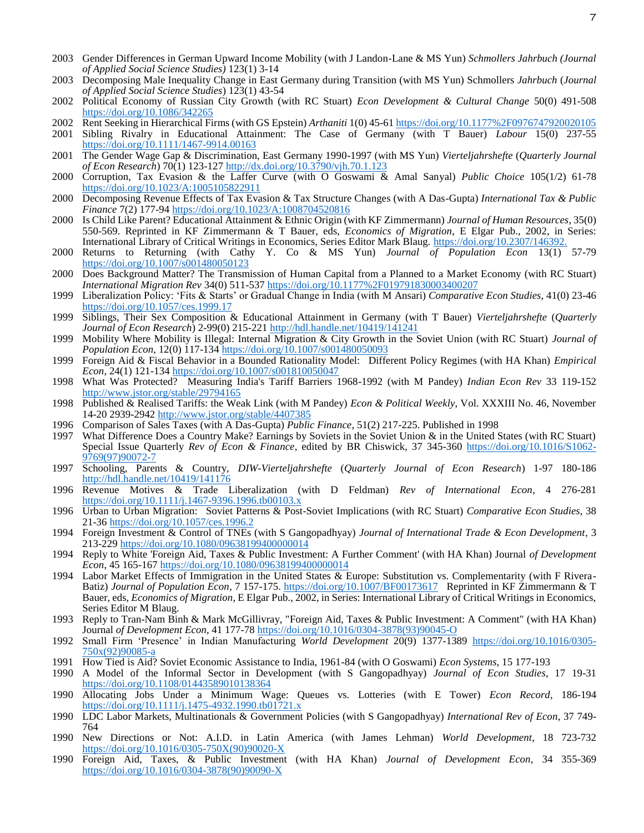- 2003 Gender Differences in German Upward Income Mobility (with J Landon-Lane & MS Yun) *Schmollers Jahrbuch (Journal of Applied Social Science Studies)* 123(1) 3-14
- 2003 Decomposing Male Inequality Change in East Germany during Transition (with MS Yun) Schmollers *Jahrbuch* (*Journal of Applied Social Science Studies*) 123(1) 43-54
- 2002 Political Economy of Russian City Growth (with RC Stuart) *Econ Development & Cultural Change* 50(0) 491-508 <https://doi.org/10.1086/342265>
- 2002 Rent Seeking in Hierarchical Firms (with GS Epstein) *Arthaniti* 1(0) 45-6[1 https://doi.org/10.1177%2F0976747920020105](https://doi.org/10.1177%2F0976747920020105)
- 2001 Sibling Rivalry in Educational Attainment: The Case of Germany (with T Bauer) *Labour* 15(0) 237-55 <https://doi.org/10.1111/1467-9914.00163>
- 2001 The Gender Wage Gap & Discrimination, East Germany 1990-1997 (with MS Yun) *Vierteljahrshefte* (*Quarterly Journal of Econ Research*) 70(1) 123-12[7 http://dx.doi.org/10.3790/vjh.70.1.123](http://dx.doi.org/10.3790/vjh.70.1.123)
- 2000 Corruption, Tax Evasion & the Laffer Curve (with O Goswami & Amal Sanyal) *Public Choice* 105(1/2) 61-78 <https://doi.org/10.1023/A:1005105822911>
- 2000 Decomposing Revenue Effects of Tax Evasion & Tax Structure Changes (with A Das-Gupta) *International Tax & Public Finance* 7(2) 177-9[4 https://doi.org/10.1023/A:1008704520816](https://doi.org/10.1023/A:1008704520816)
- 2000 Is Child Like Parent? Educational Attainment & Ethnic Origin (with KF Zimmermann) *Journal of Human Resources*, 35(0) 550-569. Reprinted in KF Zimmermann & T Bauer, eds, *Economics of Migration*, E Elgar Pub., 2002, in Series: International Library of Critical Writings in Economics, Series Editor Mark Blaug.<https://doi.org/10.2307/146392.>
- 2000 Returns to Returning (with Cathy Y. Co & MS Yun) *Journal of Population Econ* 13(1) 57-79 <https://doi.org/10.1007/s001480050123>
- 2000 Does Background Matter? The Transmission of Human Capital from a Planned to a Market Economy (with RC Stuart) *International Migration Rev* 34(0) 511-537<https://doi.org/10.1177%2F019791830003400207>
- 1999 Liberalization Policy: 'Fits & Starts' or Gradual Change in India (with M Ansari) *Comparative Econ Studies*, 41(0) 23-46 <https://doi.org/10.1057/ces.1999.17>
- 1999 Siblings, Their Sex Composition & Educational Attainment in Germany (with T Bauer) *Vierteljahrshefte* (*Quarterly Journal of Econ Research*) 2-99(0) 215-22[1 http://hdl.handle.net/10419/141241](http://hdl.handle.net/10419/141241)
- 1999 Mobility Where Mobility is Illegal: Internal Migration & City Growth in the Soviet Union (with RC Stuart) *Journal of Population Econ*, 12(0) 117-134<https://doi.org/10.1007/s001480050093>
- 1999 Foreign Aid & Fiscal Behavior in a Bounded Rationality Model: Different Policy Regimes (with HA Khan) *Empirical Econ*, 24(1) 121-134<https://doi.org/10.1007/s001810050047>
- 1998 What Was Protected? Measuring India's Tariff Barriers 1968-1992 (with M Pandey) *Indian Econ Rev* 33 119-152 <http://www.jstor.org/stable/29794165>
- 1998 Published & Realised Tariffs: the Weak Link (with M Pandey) *Econ & Political Weekly*, Vol. XXXIII No. 46, November 14-20 2939-2942<http://www.jstor.org/stable/4407385>
- 1996 Comparison of Sales Taxes (with A Das-Gupta) *Public Finance*, 51(2) 217-225. Published in 1998
- 1997 What Difference Does a Country Make? Earnings by Soviets in the Soviet Union & in the United States (with RC Stuart) Special Issue Quarterly *Rev of Econ & Finance*, edited by BR Chiswick, 37 345-360 [https://doi.org/10.1016/S1062-](https://doi.org/10.1016/S1062-9769(97)90072-7) [9769\(97\)90072-7](https://doi.org/10.1016/S1062-9769(97)90072-7)
- 1997 Schooling, Parents & Country, *DIW-Vierteljahrshefte* (*Quarterly Journal of Econ Research*) 1-97 180-186 <http://hdl.handle.net/10419/141176>
- 1996 Revenue Motives & Trade Liberalization (with D Feldman) *Rev of International Econ*, 4 276-281 <https://doi.org/10.1111/j.1467-9396.1996.tb00103.x>
- 1996 Urban to Urban Migration: Soviet Patterns & Post-Soviet Implications (with RC Stuart) *Comparative Econ Studies*, 38 21-36<https://doi.org/10.1057/ces.1996.2>
- 1994 Foreign Investment & Control of TNEs (with S Gangopadhyay) *Journal of International Trade & Econ Development*, 3 213-229<https://doi.org/10.1080/09638199400000014>
- 1994 Reply to White 'Foreign Aid, Taxes & Public Investment: A Further Comment' (with HA Khan) Journal *of Development Econ*, 45 165-167<https://doi.org/10.1080/09638199400000014>
- 1994 Labor Market Effects of Immigration in the United States & Europe: Substitution vs. Complementarity (with F Rivera-Batiz) *Journal of Population Econ*, 7 157-175.<https://doi.org/10.1007/BF00173617>Reprinted in KF Zimmermann & T Bauer, eds, *Economics of Migration*, E Elgar Pub., 2002, in Series: International Library of Critical Writings in Economics, Series Editor M Blaug.
- 1993 Reply to Tran-Nam Binh & Mark McGillivray, "Foreign Aid, Taxes & Public Investment: A Comment" (with HA Khan) Journal *of Development Econ*, 41 177-7[8 https://doi.org/10.1016/0304-3878\(93\)90045-O](https://doi.org/10.1016/0304-3878(93)90045-O)
- 1992 Small Firm 'Presence' in Indian Manufacturing *World Development* 20(9) 1377-1389 [https://doi.org/10.1016/0305-](https://doi.org/10.1016/0305-750x(92)90085-a) [750x\(92\)90085-a](https://doi.org/10.1016/0305-750x(92)90085-a)
- 1991 How Tied is Aid? Soviet Economic Assistance to India, 1961-84 (with O Goswami) *Econ Systems*, 15 177-193
- 1990 A Model of the Informal Sector in Development (with S Gangopadhyay) *Journal of Econ Studies*, 17 19-31 <https://doi.org/10.1108/01443589010138364>
- 1990 Allocating Jobs Under a Minimum Wage: Queues vs. Lotteries (with E Tower) *Econ Record*, 186-194 <https://doi.org/10.1111/j.1475-4932.1990.tb01721.x>
- 1990 LDC Labor Markets, Multinationals & Government Policies (with S Gangopadhyay) *International Rev of Econ*, 37 749- 764
- 1990 New Directions or Not: A.I.D. in Latin America (with James Lehman) *World Development*, 18 723-732 [https://doi.org/10.1016/0305-750X\(90\)90020-X](https://doi.org/10.1016/0305-750X(90)90020-X)
- 1990 Foreign Aid, Taxes, & Public Investment (with HA Khan) *Journal of Development Econ*, 34 355-369 [https://doi.org/10.1016/0304-3878\(90\)90090-X](https://doi.org/10.1016/0304-3878(90)90090-X)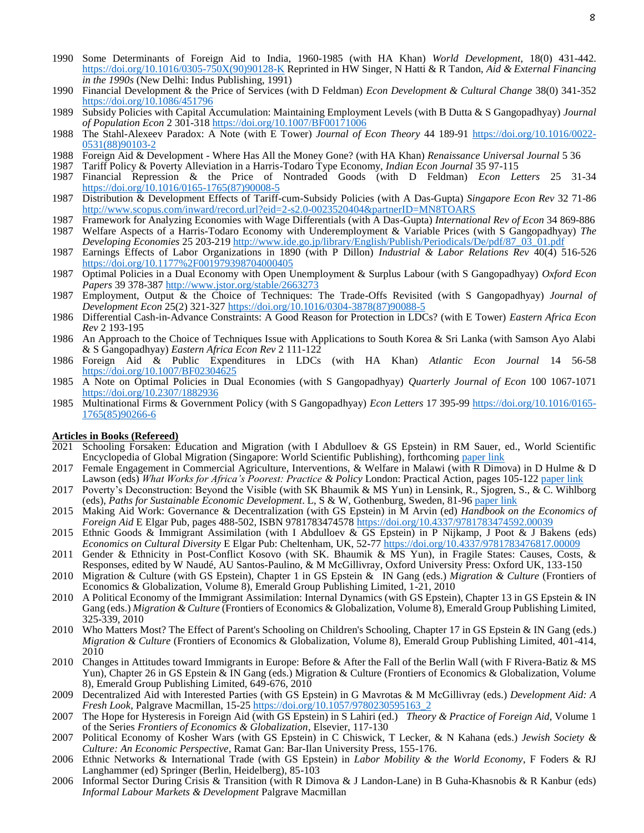- 1990 Some Determinants of Foreign Aid to India, 1960-1985 (with HA Khan) *World Development*, 18(0) 431-442. [https://doi.org/10.1016/0305-750X\(90\)90128-K](https://doi.org/10.1016/0305-750X(90)90128-K) Reprinted in HW Singer, N Hatti & R Tandon, *Aid & External Financing in the 1990s* (New Delhi: Indus Publishing, 1991)
- 1990 Financial Development & the Price of Services (with D Feldman) *Econ Development & Cultural Change* 38(0) 341-352 <https://doi.org/10.1086/451796>
- 1989 Subsidy Policies with Capital Accumulation: Maintaining Employment Levels (with B Dutta & S Gangopadhyay) *Journal of Population Econ* 2 301-318 <https://doi.org/10.1007/BF00171006>
- 1988 The Stahl-Alexeev Paradox: A Note (with E Tower) *Journal of Econ Theory* 44 189-91 [https://doi.org/10.1016/0022-](https://doi.org/10.1016/0022-0531(88)90103-2) [0531\(88\)90103-2](https://doi.org/10.1016/0022-0531(88)90103-2)
- 1988 Foreign Aid & Development Where Has All the Money Gone? (with HA Khan) *Renaissance Universal Journal* 5 36
- 1987 Tariff Policy & Poverty Alleviation in a Harris-Todaro Type Economy, *Indian Econ Journal* 35 97-115
- 1987 Financial Repression & the Price of Nontraded Goods (with D Feldman) *Econ Letters* 25 31-34 [https://doi.org/10.1016/0165-1765\(87\)90008-5](https://doi.org/10.1016/0165-1765(87)90008-5)
- 1987 Distribution & Development Effects of Tariff-cum-Subsidy Policies (with A Das-Gupta) *Singapore Econ Rev* 32 71-86 <http://www.scopus.com/inward/record.url?eid=2-s2.0-0023520404&partnerID=MN8TOARS>
- 1987 Framework for Analyzing Economies with Wage Differentials (with A Das-Gupta) *International Rev of Econ* 34 869-886 1987 Welfare Aspects of a Harris-Todaro Economy with Underemployment & Variable Prices (with S Gangopadhyay) *The Developing Economies* 25 203-219 [http://www.ide.go.jp/library/English/Publish/Periodicals/De/pdf/87\\_03\\_01.pdf](http://www.ide.go.jp/library/English/Publish/Periodicals/De/pdf/87_03_01.pdf)
- 1987 Earnings Effects of Labor Organizations in 1890 (with P Dillon) *Industrial & Labor Relations Rev* 40(4) 516-526 <https://doi.org/10.1177%2F001979398704000405>
- 1987 Optimal Policies in a Dual Economy with Open Unemployment & Surplus Labour (with S Gangopadhyay) *Oxford Econ Papers* 39 378-387 <http://www.jstor.org/stable/2663273>
- 1987 Employment, Output & the Choice of Techniques: The Trade-Offs Revisited (with S Gangopadhyay) *Journal of Development Econ* 25(2) 321-32[7 https://doi.org/10.1016/0304-3878\(87\)90088-5](https://doi.org/10.1016/0304-3878(87)90088-5)
- 1986 Differential Cash-in-Advance Constraints: A Good Reason for Protection in LDCs? (with E Tower) *Eastern Africa Econ Rev* 2 193-195
- 1986 An Approach to the Choice of Techniques Issue with Applications to South Korea & Sri Lanka (with Samson Ayo Alabi & S Gangopadhyay) *Eastern Africa Econ Rev* 2 111-122
- 1986 Foreign Aid & Public Expenditures in LDCs (with HA Khan) *Atlantic Econ Journal* 14 56-58 <https://doi.org/10.1007/BF02304625>
- 1985 A Note on Optimal Policies in Dual Economies (with S Gangopadhyay) *Quarterly Journal of Econ* 100 1067-1071 <https://doi.org/10.2307/1882936>
- 1985 Multinational Firms & Government Policy (with S Gangopadhyay) *Econ Letters* 17 395-99 [https://doi.org/10.1016/0165-](https://doi.org/10.1016/0165-1765(85)90266-6) [1765\(85\)90266-6](https://doi.org/10.1016/0165-1765(85)90266-6)

### **Articles in Books (Refereed)**

- 2021 Schooling Forsaken: Education and Migration (with I Abdulloev & GS Epstein) in RM Sauer, ed., World Scientific Encyclopedia of Global Migration (Singapore: World Scientific Publishing), forthcoming [paper link](https://ideas.repec.org/p/iza/izadps/dp12088.html)
- 2017 Female Engagement in Commercial Agriculture, Interventions, & Welfare in Malawi (with R Dimova) in D Hulme & D Lawson (eds) What Works for Africa's Poorest: Practice & Policy London: Practical Action, pages 105-122 [paper link](https://ideas.repec.org/p/rut/rutres/201522.html)
- 2017 Poverty's Deconstruction: Beyond the Visible (with SK Bhaumik & MS Yun) in Lensink, R., Sjogren, S., & C. Wihlborg (eds), *Paths for Sustainable Economic Development*. L, S & W, Gothenburg, Sweden, 81-9[6 paper link](https://ideas.repec.org/p/iza/izadps/dp11160.html)
- 2015 Making Aid Work: Governance & Decentralization (with GS Epstein) in M Arvin (ed) *Handbook on the Economics of Foreign Aid* E Elgar Pub, pages 488-502, ISBN 9781783474578 <https://doi.org/10.4337/9781783474592.00039>
- 2015 Ethnic Goods & Immigrant Assimilation (with I Abdulloev & GS Epstein) in P Nijkamp, J Poot & J Bakens (eds) *Economics on Cultural Diversity* E Elgar Pub: Cheltenham, UK, 52-77 <https://doi.org/10.4337/9781783476817.00009>
- 2011 Gender & Ethnicity in Post-Conflict Kosovo (with SK. Bhaumik & MS Yun), in Fragile States: Causes, Costs, & Responses, edited by W Naudé, AU Santos-Paulino, & M McGillivray, Oxford University Press: Oxford UK, 133-150
- 2010 Migration & Culture (with GS Epstein), Chapter 1 in GS Epstein & IN Gang (eds.) *Migration & Culture* (Frontiers of Economics & Globalization, Volume 8), Emerald Group Publishing Limited, 1-21, 2010
- 2010 A Political Economy of the Immigrant Assimilation: Internal Dynamics (with GS Epstein), Chapter 13 in GS Epstein & IN Gang (eds.) *Migration & Culture* (Frontiers of Economics & Globalization, Volume 8), Emerald Group Publishing Limited, 325-339, 2010
- 2010 Who Matters Most? The Effect of Parent's Schooling on Children's Schooling, Chapter 17 in GS Epstein & IN Gang (eds.) *Migration & Culture* (Frontiers of Economics & Globalization, Volume 8), Emerald Group Publishing Limited, 401-414, 2010
- 2010 Changes in Attitudes toward Immigrants in Europe: Before & After the Fall of the Berlin Wall (with F Rivera-Batiz & MS Yun), Chapter 26 in GS Epstein & IN Gang (eds.) Migration & Culture (Frontiers of Economics & Globalization, Volume 8), Emerald Group Publishing Limited, 649-676, 2010
- 2009 Decentralized Aid with Interested Parties (with GS Epstein) in G Mavrotas & M McGillivray (eds.) *Development Aid: A Fresh Look*, Palgrave Macmillan, 15-25 [https://doi.org/10.1057/9780230595163\\_2](https://doi.org/10.1057/9780230595163_2)
- 2007 The Hope for Hysteresis in Foreign Aid (with GS Epstein) in S Lahiri (ed.) *Theory & Practice of Foreign Aid*, Volume 1 of the Series *Frontiers of Economics & Globalization*, Elsevier, 117-130
- 2007 Political Economy of Kosher Wars (with GS Epstein) in C Chiswick, T Lecker, & N Kahana (eds.) *Jewish Society & Culture: An Economic Perspective*, Ramat Gan: Bar-Ilan University Press, 155-176.
- 2006 Ethnic Networks & International Trade (with GS Epstein) in *Labor Mobility & the World Economy*, F Foders & RJ Langhammer (ed) Springer (Berlin, Heidelberg), 85-103
- 2006 Informal Sector During Crisis & Transition (with R Dimova & J Landon-Lane) in B Guha-Khasnobis & R Kanbur (eds) *Informal Labour Markets & Development* Palgrave Macmillan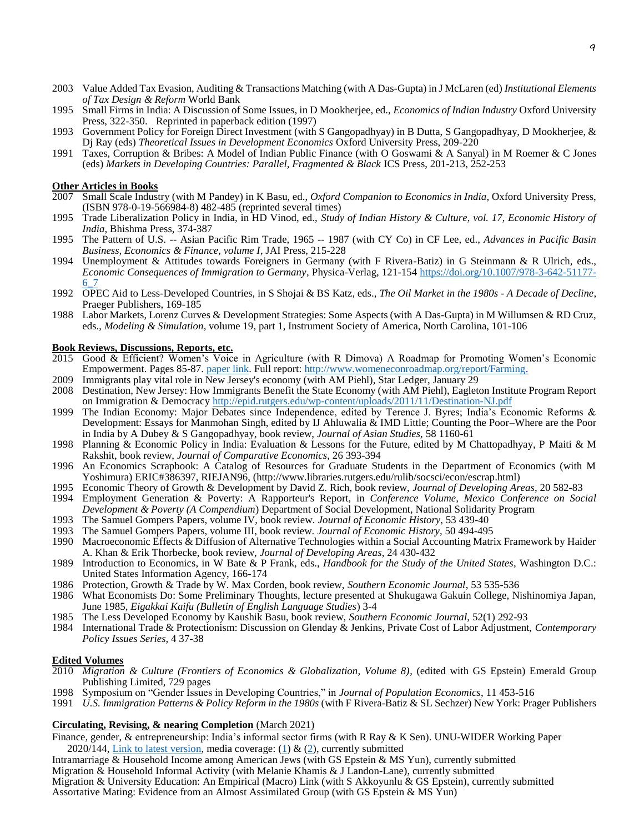- 2003 Value Added Tax Evasion, Auditing & Transactions Matching (with A Das-Gupta) in J McLaren (ed) *Institutional Elements of Tax Design & Reform* World Bank
- 1995 Small Firms in India: A Discussion of Some Issues, in D Mookherjee, ed., *Economics of Indian Industry* Oxford University Press, 322-350. Reprinted in paperback edition (1997)
- 1993 Government Policy for Foreign Direct Investment (with S Gangopadhyay) in B Dutta, S Gangopadhyay, D Mookherjee, & Dj Ray (eds) *Theoretical Issues in Development Economics* Oxford University Press, 209-220
- 1991 Taxes, Corruption & Bribes: A Model of Indian Public Finance (with O Goswami & A Sanyal) in M Roemer & C Jones (eds) *Markets in Developing Countries: Parallel, Fragmented & Black* ICS Press, 201-213, 252-253

### **Other Articles in Books**

- 2007 Small Scale Industry (with M Pandey) in K Basu, ed., *Oxford Companion to Economics in India*, Oxford University Press, (ISBN 978-0-19-566984-8) 482-485 (reprinted several times)
- 1995 Trade Liberalization Policy in India, in HD Vinod, ed., *Study of Indian History & Culture, vol. 17, Economic History of India*, Bhishma Press, 374-387
- 1995 The Pattern of U.S. -- Asian Pacific Rim Trade, 1965 -- 1987 (with CY Co) in CF Lee, ed., *Advances in Pacific Basin Business, Economics & Finance, volume I*, JAI Press, 215-228
- 1994 Unemployment & Attitudes towards Foreigners in Germany (with F Rivera-Batiz) in G Steinmann & R Ulrich, eds., *Economic Consequences of Immigration to Germany*, Physica-Verlag, 121-154 [https://doi.org/10.1007/978-3-642-51177-](https://doi.org/10.1007/978-3-642-51177-6_7) [6\\_7](https://doi.org/10.1007/978-3-642-51177-6_7)
- 1992 OPEC Aid to Less-Developed Countries, in S Shojai & BS Katz, eds., *The Oil Market in the 1980s - A Decade of Decline*, Praeger Publishers, 169-185
- 1988 Labor Markets, Lorenz Curves & Development Strategies: Some Aspects (with A Das-Gupta) in M Willumsen & RD Cruz, eds., *Modeling & Simulation*, volume 19, part 1, Instrument Society of America, North Carolina, 101-106

## **Book Reviews, Discussions, Reports, etc.**

- 2015 Good & Efficient? Women's Voice in Agriculture (with R Dimova) A Roadmap for Promoting Women's Economic Empowerment. Pages 85-87. [paper link.](file:///C:/Users/gang/Dropbox/VitaCalendarHome/Vita/paper%20link) Full report: [http://www.womeneconroadmap.org/report/Farming.](http://www.womeneconroadmap.org/report/Farming)
- 2009 Immigrants play vital role in New Jersey's economy (with AM Piehl), Star Ledger, January 29
- 2008 Destination, New Jersey: How Immigrants Benefit the State Economy (with AM Piehl), Eagleton Institute Program Report on Immigration & Democracy <http://epid.rutgers.edu/wp-content/uploads/2011/11/Destination-NJ.pdf>
- 1999 The Indian Economy: Major Debates since Independence, edited by Terence J. Byres; India's Economic Reforms & Development: Essays for Manmohan Singh, edited by IJ Ahluwalia & IMD Little; Counting the Poor–Where are the Poor in India by A Dubey & S Gangopadhyay, book review, *Journal of Asian Studies,* 58 1160-61
- 1998 Planning & Economic Policy in India: Evaluation & Lessons for the Future, edited by M Chattopadhyay, P Maiti & M Rakshit, book review, *Journal of Comparative Economics*, 26 393-394
- 1996 An Economics Scrapbook: A Catalog of Resources for Graduate Students in the Department of Economics (with M Yoshimura) ERIC#386397, RIEJAN96, (http://www.libraries.rutgers.edu/rulib/socsci/econ/escrap.html)
- 1995 Economic Theory of Growth & Development by David Z. Rich, book review, *Journal of Developing Areas*, 20 582-83
- 1994 Employment Generation & Poverty: A Rapporteur's Report, in *Conference Volume, Mexico Conference on Social Development & Poverty (A Compendium*) Department of Social Development, National Solidarity Program
- 1993 The Samuel Gompers Papers, volume IV, book review. *Journal of Economic History*, 53 439-40
- 1993 The Samuel Gompers Papers, volume III, book review. *Journal of Economic History*, 50 494-495
- 1990 Macroeconomic Effects & Diffusion of Alternative Technologies within a Social Accounting Matrix Framework by Haider A. Khan & Erik Thorbecke, book review, *Journal of Developing Areas*, 24 430-432
- 1989 Introduction to Economics, in W Bate & P Frank, eds., *Handbook for the Study of the United States*, Washington D.C.: United States Information Agency, 166-174
- 1986 Protection, Growth & Trade by W. Max Corden, book review, *Southern Economic Journal*, 53 535-536
- 1986 What Economists Do: Some Preliminary Thoughts, lecture presented at Shukugawa Gakuin College, Nishinomiya Japan, June 1985, *Eigakkai Kaifu (Bulletin of English Language Studies*) 3-4
- 1985 The Less Developed Economy by Kaushik Basu, book review, *Southern Economic Journal*, 52(1) 292-93
- 1984 International Trade & Protectionism: Discussion on Glenday & Jenkins, Private Cost of Labor Adjustment, *Contemporary Policy Issues Series*, 4 37-38

### **Edited Volumes**

- 2010 *Migration & Culture (Frontiers of Economics & Globalization, Volume 8)*, (edited with GS Epstein) Emerald Group Publishing Limited, 729 pages
- 1998 Symposium on "Gender Issues in Developing Countries," in *Journal of Population Economics*, 11 453-516
- 1991 *U.S. Immigration Patterns & Policy Reform in the 1980s* (with F Rivera-Batiz & SL Sechzer) New York: Prager Publishers

## **Circulating, Revising, & nearing Completion** (March 2021)

- Finance, gender, & entrepreneurship: India's informal sector firms (with R Ray & K Sen). UNU-WIDER Working Paper 2020/144, [Link to latest version,](https://sakai.rutgers.edu/x/XmulrV) media coverage: [\(1\)](https://openthemagazine.com/feature/women-entrepreneurs-informal-sector-smart-men/) & [\(2\)](https://www.wider.unu.edu/media/finance-gender-and-entrepreneurship-india-%E2%80%94-study-findings-highlighted-national-media), currently submitted
- Intramarriage & Household Income among American Jews (with GS Epstein & MS Yun), currently submitted
- Migration & Household Informal Activity (with Melanie Khamis & J Landon-Lane), currently submitted
- Migration & University Education: An Empirical (Macro) Link (with S Akkoyunlu & GS Epstein), currently submitted Assortative Mating: Evidence from an Almost Assimilated Group (with GS Epstein & MS Yun)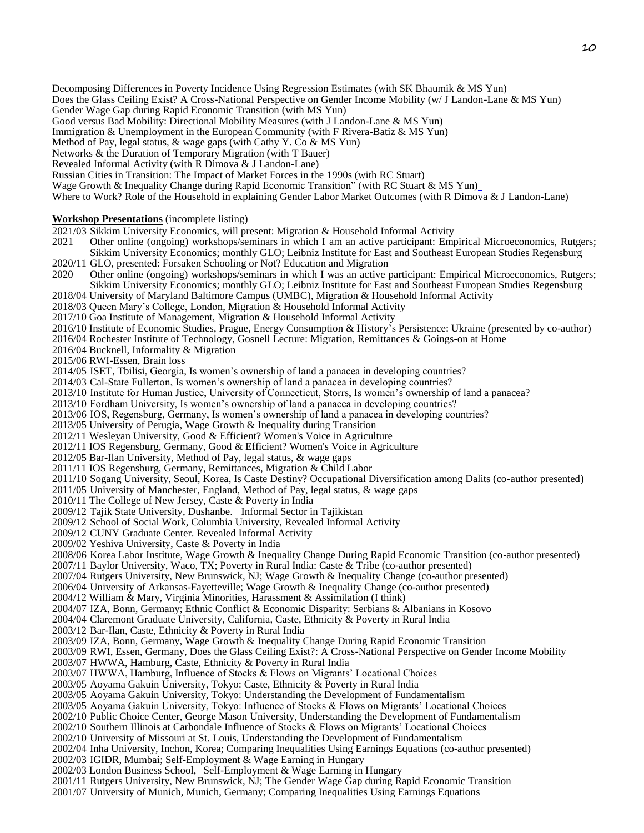Decomposing Differences in Poverty Incidence Using Regression Estimates (with SK Bhaumik & MS Yun)

- Does the Glass Ceiling Exist? A Cross-National Perspective on Gender Income Mobility (w/ J Landon-Lane & MS Yun)
- Gender Wage Gap during Rapid Economic Transition (with MS Yun)

Good versus Bad Mobility: Directional Mobility Measures (with J Landon-Lane & MS Yun)

Immigration & Unemployment in the European Community (with F Rivera-Batiz & MS Yun)

Method of Pay, legal status, & wage gaps (with Cathy Y. Co & MS Yun)

Networks & the Duration of Temporary Migration (with T Bauer)

Revealed Informal Activity (with R Dimova & J Landon-Lane)

Russian Cities in Transition: The Impact of Market Forces in the 1990s (with RC Stuart)

Wage Growth & Inequality Change during Rapid Economic Transition" (with RC Stuart & MS Yun)

Where to Work? Role of the Household in explaining Gender Labor Market Outcomes (with R Dimova & J Landon-Lane)

**Workshop Presentations** (incomplete listing)

2021/03 Sikkim University Economics, will present: Migration & Household Informal Activity

2021 Other online (ongoing) workshops/seminars in which I am an active participant: Empirical Microeconomics, Rutgers; Sikkim University Economics; monthly GLO; Leibniz Institute for East and Southeast European Studies Regensburg

2020/11 GLO, presented: Forsaken Schooling or Not? Education and Migration

2020 Other online (ongoing) workshops/seminars in which I was an active participant: Empirical Microeconomics, Rutgers; Sikkim University Economics; monthly GLO; Leibniz Institute for East and Southeast European Studies Regensburg

2018/04 University of Maryland Baltimore Campus (UMBC), Migration & Household Informal Activity

2018/03 Queen Mary's College, London, Migration & Household Informal Activity

2017/10 Goa Institute of Management, Migration & Household Informal Activity

- 2016/10 Institute of Economic Studies, Prague, Energy Consumption & History's Persistence: Ukraine (presented by co-author)
- 2016/04 Rochester Institute of Technology, Gosnell Lecture: Migration, Remittances & Goings-on at Home

2016/04 Bucknell, Informality & Migration

2015/06 RWI-Essen, Brain loss

2014/05 ISET, Tbilisi, Georgia, Is women's ownership of land a panacea in developing countries?

- 2014/03 Cal-State Fullerton, Is women's ownership of land a panacea in developing countries?
- 2013/10 Institute for Human Justice, University of Connecticut, Storrs, Is women's ownership of land a panacea?

2013/10 Fordham University, Is women's ownership of land a panacea in developing countries?

2013/06 IOS, Regensburg, Germany, Is women's ownership of land a panacea in developing countries?

2013/05 University of Perugia, Wage Growth & Inequality during Transition

2012/11 Wesleyan University, Good & Efficient? Women's Voice in Agriculture

2012/11 IOS Regensburg, Germany, Good & Efficient? Women's Voice in Agriculture

2012/05 Bar-Ilan University, Method of Pay, legal status, & wage gaps

2011/11 IOS Regensburg, Germany, Remittances, Migration & Child Labor

2011/10 Sogang University, Seoul, Korea, Is Caste Destiny? Occupational Diversification among Dalits (co-author presented)

2011/05 University of Manchester, England, Method of Pay, legal status, & wage gaps

2010/11 The College of New Jersey, Caste & Poverty in India

2009/12 Tajik State University, Dushanbe. Informal Sector in Tajikistan

2009/12 School of Social Work, Columbia University, Revealed Informal Activity

2009/12 CUNY Graduate Center. Revealed Informal Activity

- 2009/02 Yeshiva University, Caste & Poverty in India
- 2008/06 Korea Labor Institute, Wage Growth & Inequality Change During Rapid Economic Transition (co-author presented)
- 2007/11 Baylor University, Waco, TX; Poverty in Rural India: Caste & Tribe (co-author presented)
- 2007/04 Rutgers University, New Brunswick, NJ; Wage Growth & Inequality Change (co-author presented)
- 2006/04 University of Arkansas-Fayetteville; Wage Growth & Inequality Change (co-author presented)

2004/12 William & Mary, Virginia Minorities, Harassment & Assimilation (I think)

2004/07 IZA, Bonn, Germany; Ethnic Conflict & Economic Disparity: Serbians & Albanians in Kosovo

2004/04 Claremont Graduate University, California, Caste, Ethnicity & Poverty in Rural India

2003/12 Bar-Ilan, Caste, Ethnicity & Poverty in Rural India

2003/09 IZA, Bonn, Germany, Wage Growth & Inequality Change During Rapid Economic Transition

2003/09 RWI, Essen, Germany, Does the Glass Ceiling Exist?: A Cross-National Perspective on Gender Income Mobility

2003/07 HWWA, Hamburg, Caste, Ethnicity & Poverty in Rural India

2003/07 HWWA, Hamburg, Influence of Stocks & Flows on Migrants' Locational Choices

2003/05 Aoyama Gakuin University, Tokyo: Caste, Ethnicity & Poverty in Rural India

- 2003/05 Aoyama Gakuin University, Tokyo: Understanding the Development of Fundamentalism
- 2003/05 Aoyama Gakuin University, Tokyo: Influence of Stocks & Flows on Migrants' Locational Choices
- 2002/10 Public Choice Center, George Mason University, Understanding the Development of Fundamentalism

2002/10 Southern Illinois at Carbondale Influence of Stocks & Flows on Migrants' Locational Choices

2002/10 University of Missouri at St. Louis, Understanding the Development of Fundamentalism

2002/04 Inha University, Inchon, Korea; Comparing Inequalities Using Earnings Equations (co-author presented)

2002/03 IGIDR, Mumbai; Self-Employment & Wage Earning in Hungary

2002/03 London Business School, Self-Employment & Wage Earning in Hungary

2001/11 Rutgers University, New Brunswick, NJ; The Gender Wage Gap during Rapid Economic Transition

2001/07 University of Munich, Munich, Germany; Comparing Inequalities Using Earnings Equations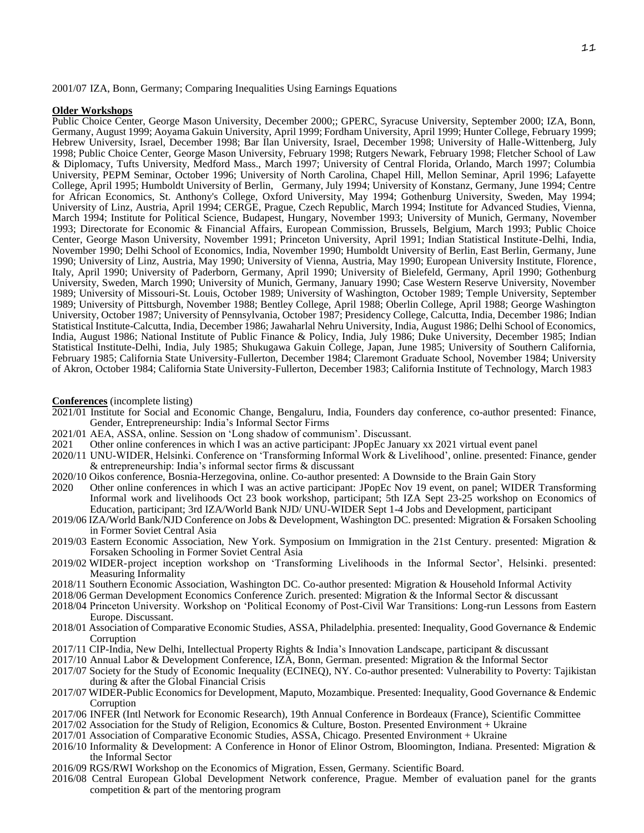2001/07 IZA, Bonn, Germany; Comparing Inequalities Using Earnings Equations

#### **Older Workshops**

Public Choice Center, George Mason University, December 2000;; GPERC, Syracuse University, September 2000; IZA, Bonn, Germany, August 1999; Aoyama Gakuin University, April 1999; Fordham University, April 1999; Hunter College, February 1999; Hebrew University, Israel, December 1998; Bar Ilan University, Israel, December 1998; University of Halle-Wittenberg, July 1998; Public Choice Center, George Mason University, February 1998; Rutgers Newark, February 1998; Fletcher School of Law & Diplomacy, Tufts University, Medford Mass., March 1997; University of Central Florida, Orlando, March 1997; Columbia University, PEPM Seminar, October 1996; University of North Carolina, Chapel Hill, Mellon Seminar, April 1996; Lafayette College, April 1995; Humboldt University of Berlin, Germany, July 1994; University of Konstanz, Germany, June 1994; Centre for African Economics, St. Anthony's College, Oxford University, May 1994; Gothenburg University, Sweden, May 1994; University of Linz, Austria, April 1994; CERGE, Prague, Czech Republic, March 1994; Institute for Advanced Studies, Vienna, March 1994; Institute for Political Science, Budapest, Hungary, November 1993; University of Munich, Germany, November 1993; Directorate for Economic & Financial Affairs, European Commission, Brussels, Belgium, March 1993; Public Choice Center, George Mason University, November 1991; Princeton University, April 1991; Indian Statistical Institute-Delhi, India, November 1990; Delhi School of Economics, India, November 1990; Humboldt University of Berlin, East Berlin, Germany, June 1990; University of Linz, Austria, May 1990; University of Vienna, Austria, May 1990; European University Institute, Florence, Italy, April 1990; University of Paderborn, Germany, April 1990; University of Bielefeld, Germany, April 1990; Gothenburg University, Sweden, March 1990; University of Munich, Germany, January 1990; Case Western Reserve University, November 1989; University of Missouri-St. Louis, October 1989; University of Washington, October 1989; Temple University, September 1989; University of Pittsburgh, November 1988; Bentley College, April 1988; Oberlin College, April 1988; George Washington University, October 1987; University of Pennsylvania, October 1987; Presidency College, Calcutta, India, December 1986; Indian Statistical Institute-Calcutta, India, December 1986; Jawaharlal Nehru University, India, August 1986; Delhi School of Economics, India, August 1986; National Institute of Public Finance & Policy, India, July 1986; Duke University, December 1985; Indian Statistical Institute-Delhi, India, July 1985; Shukugawa Gakuin College, Japan, June 1985; University of Southern California, February 1985; California State University-Fullerton, December 1984; Claremont Graduate School, November 1984; University of Akron, October 1984; California State University-Fullerton, December 1983; California Institute of Technology, March 1983

#### **Conferences** (incomplete listing)

- 2021/01 Institute for Social and Economic Change, Bengaluru, India, Founders day conference, co-author presented: Finance, Gender, Entrepreneurship: India's Informal Sector Firms
- 2021/01 AEA, ASSA, online. Session on 'Long shadow of communism'. Discussant.
- 2021 Other online conferences in which I was an active participant: JPopEc January xx 2021 virtual event panel
- 2020/11 UNU-WIDER, Helsinki. Conference on 'Transforming Informal Work & Livelihood', online. presented: Finance, gender & entrepreneurship: India's informal sector firms & discussant
- 2020/10 Oikos conference, Bosnia-Herzegovina, online. Co-author presented: A Downside to the Brain Gain Story<br>2020 Other online conferences in which I was an active participant: JPopEc Nov 19 event, on panel; WIDER
- Other online conferences in which I was an active participant: JPopEc Nov 19 event, on panel; WIDER Transforming Informal work and livelihoods Oct 23 book workshop, participant; 5th IZA Sept 23-25 workshop on Economics of Education, participant; 3rd IZA/World Bank NJD/ UNU-WIDER Sept 1-4 Jobs and Development, participant
- 2019/06 IZA/World Bank/NJD Conference on Jobs & Development, Washington DC. presented: Migration & Forsaken Schooling in Former Soviet Central Asia
- 2019/03 Eastern Economic Association, New York. Symposium on Immigration in the 21st Century. presented: Migration & Forsaken Schooling in Former Soviet Central Asia
- 2019/02 WIDER-project inception workshop on 'Transforming Livelihoods in the Informal Sector', Helsinki. presented: Measuring Informality
- 2018/11 Southern Economic Association, Washington DC. Co-author presented: Migration & Household Informal Activity
- 2018/06 German Development Economics Conference Zurich. presented: Migration & the Informal Sector & discussant
- 2018/04 Princeton University. Workshop on 'Political Economy of Post-Civil War Transitions: Long-run Lessons from Eastern Europe. Discussant.
- 2018/01 Association of Comparative Economic Studies, ASSA, Philadelphia. presented: Inequality, Good Governance & Endemic **Corruption**
- 2017/11 CIP-India, New Delhi, Intellectual Property Rights & India's Innovation Landscape, participant & discussant
- 2017/10 Annual Labor & Development Conference, IZA, Bonn, German. presented: Migration & the Informal Sector
- 2017/07 Society for the Study of Economic Inequality (ECINEQ), NY. Co-author presented: Vulnerability to Poverty: Tajikistan during & after the Global Financial Crisis
- 2017/07 WIDER-Public Economics for Development, Maputo, Mozambique. Presented: Inequality, Good Governance & Endemic Corruption
- 2017/06 INFER (Intl Network for Economic Research), 19th Annual Conference in Bordeaux (France), Scientific Committee
- 2017/02 Association for the Study of Religion, Economics & Culture, Boston. Presented Environment + Ukraine
- 2017/01 Association of Comparative Economic Studies, ASSA, Chicago. Presented Environment + Ukraine
- 2016/10 Informality & Development: A Conference in Honor of Elinor Ostrom, Bloomington, Indiana. Presented: Migration & the Informal Sector
- 2016/09 RGS/RWI Workshop on the Economics of Migration, Essen, Germany. Scientific Board.
- 2016/08 Central European Global Development Network conference, Prague. Member of evaluation panel for the grants competition  $\&$  part of the mentoring program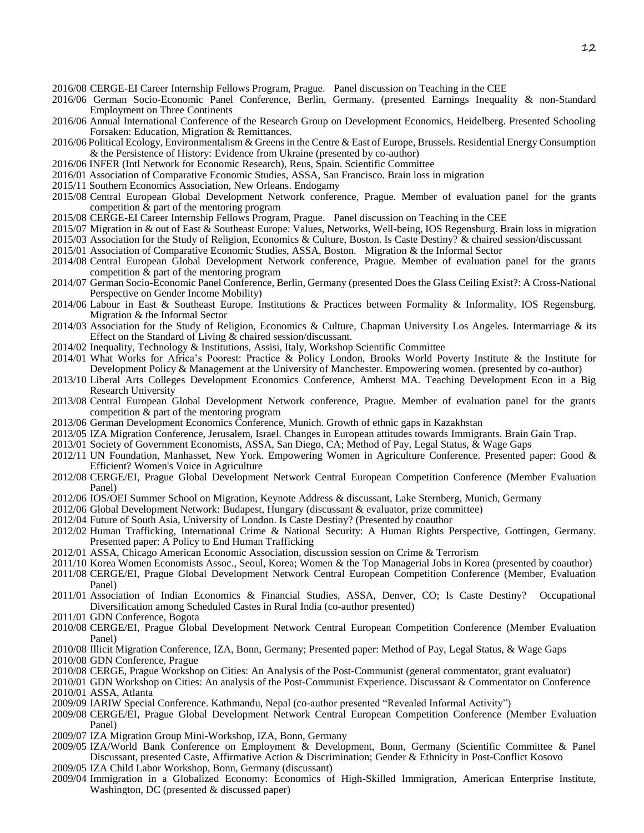- 2016/08 CERGE-EI Career Internship Fellows Program, Prague. Panel discussion on Teaching in the CEE
- 2016/06 German Socio-Economic Panel Conference, Berlin, Germany. (presented Earnings Inequality & non-Standard Employment on Three Continents
- 2016/06 Annual International Conference of the Research Group on Development Economics, Heidelberg. Presented Schooling Forsaken: Education, Migration & Remittances.
- 2016/06 Political Ecology, Environmentalism & Greens in the Centre & East of Europe, Brussels. Residential Energy Consumption & the Persistence of History: Evidence from Ukraine (presented by co-author)
- 2016/06 INFER (Intl Network for Economic Research), Reus, Spain. Scientific Committee
- 2016/01 Association of Comparative Economic Studies, ASSA, San Francisco. Brain loss in migration
- 2015/11 Southern Economics Association, New Orleans. Endogamy
- 2015/08 Central European Global Development Network conference, Prague. Member of evaluation panel for the grants competition & part of the mentoring program
- 2015/08 CERGE-EI Career Internship Fellows Program, Prague. Panel discussion on Teaching in the CEE
- 2015/07 Migration in & out of East & Southeast Europe: Values, Networks, Well-being, IOS Regensburg. Brain loss in migration
- 2015/03 Association for the Study of Religion, Economics & Culture, Boston. Is Caste Destiny? & chaired session/discussant
- 2015/01 Association of Comparative Economic Studies, ASSA, Boston. Migration & the Informal Sector
- 2014/08 Central European Global Development Network conference, Prague. Member of evaluation panel for the grants competition  $\&$  part of the mentoring program
- 2014/07 German Socio-Economic Panel Conference, Berlin, Germany (presented Does the Glass Ceiling Exist?: A Cross-National Perspective on Gender Income Mobility)
- 2014/06 Labour in East & Southeast Europe. Institutions & Practices between Formality & Informality, IOS Regensburg. Migration & the Informal Sector
- $2014/03$  Association for the Study of Religion, Economics & Culture, Chapman University Los Angeles. Intermarriage & its Effect on the Standard of Living & chaired session/discussant.
- 2014/02 Inequality, Technology & Institutions, Assisi, Italy, Workshop Scientific Committee
- 2014/01 What Works for Africa's Poorest: Practice & Policy London, Brooks World Poverty Institute & the Institute for Development Policy & Management at the University of Manchester. Empowering women. (presented by co-author)
- 2013/10 Liberal Arts Colleges Development Economics Conference, Amherst MA. Teaching Development Econ in a Big Research University
- 2013/08 Central European Global Development Network conference, Prague. Member of evaluation panel for the grants competition & part of the mentoring program
- 2013/06 German Development Economics Conference, Munich. Growth of ethnic gaps in Kazakhstan
- 2013/05 IZA Migration Conference, Jerusalem, Israel. Changes in European attitudes towards Immigrants. Brain Gain Trap.
- 2013/01 Society of Government Economists, ASSA, San Diego, CA; Method of Pay, Legal Status, & Wage Gaps
- 2012/11 UN Foundation, Manhasset, New York. Empowering Women in Agriculture Conference. Presented paper: Good & Efficient? Women's Voice in Agriculture
- 2012/08 CERGE/EI, Prague Global Development Network Central European Competition Conference (Member Evaluation Panel)
- 2012/06 IOS/OEI Summer School on Migration, Keynote Address & discussant, Lake Sternberg, Munich, Germany
- 2012/06 Global Development Network: Budapest, Hungary (discussant & evaluator, prize committee)
- 2012/04 Future of South Asia, University of London. Is Caste Destiny? (Presented by coauthor
- 2012/02 Human Trafficking, International Crime & National Security: A Human Rights Perspective, Gottingen, Germany. Presented paper: A Policy to End Human Trafficking
- 2012/01 ASSA, Chicago American Economic Association, discussion session on Crime & Terrorism
- 2011/10 Korea Women Economists Assoc., Seoul, Korea; Women & the Top Managerial Jobs in Korea (presented by coauthor)
- 2011/08 CERGE/EI, Prague Global Development Network Central European Competition Conference (Member, Evaluation Panel)
- 2011/01 Association of Indian Economics & Financial Studies, ASSA, Denver, CO; Is Caste Destiny? Occupational Diversification among Scheduled Castes in Rural India (co-author presented)
- 2011/01 GDN Conference, Bogota
- 2010/08 CERGE/EI, Prague Global Development Network Central European Competition Conference (Member Evaluation Panel)
- 2010/08 Illicit Migration Conference, IZA, Bonn, Germany; Presented paper: Method of Pay, Legal Status, & Wage Gaps
- 2010/08 GDN Conference, Prague
- 2010/08 CERGE, Prague Workshop on Cities: An Analysis of the Post-Communist (general commentator, grant evaluator)
- 2010/01 GDN Workshop on Cities: An analysis of the Post-Communist Experience. Discussant & Commentator on Conference 2010/01 ASSA, Atlanta
- 2009/09 IARIW Special Conference. Kathmandu, Nepal (co-author presented "Revealed Informal Activity")
- 2009/08 CERGE/EI, Prague Global Development Network Central European Competition Conference (Member Evaluation Panel)
- 2009/07 IZA Migration Group Mini-Workshop, IZA, Bonn, Germany
- 2009/05 IZA/World Bank Conference on Employment & Development, Bonn, Germany (Scientific Committee & Panel Discussant, presented Caste, Affirmative Action & Discrimination; Gender & Ethnicity in Post-Conflict Kosovo
- 2009/05 IZA Child Labor Workshop, Bonn, Germany (discussant)
- 2009/04 Immigration in a Globalized Economy: Economics of High-Skilled Immigration, American Enterprise Institute, Washington, DC (presented & discussed paper)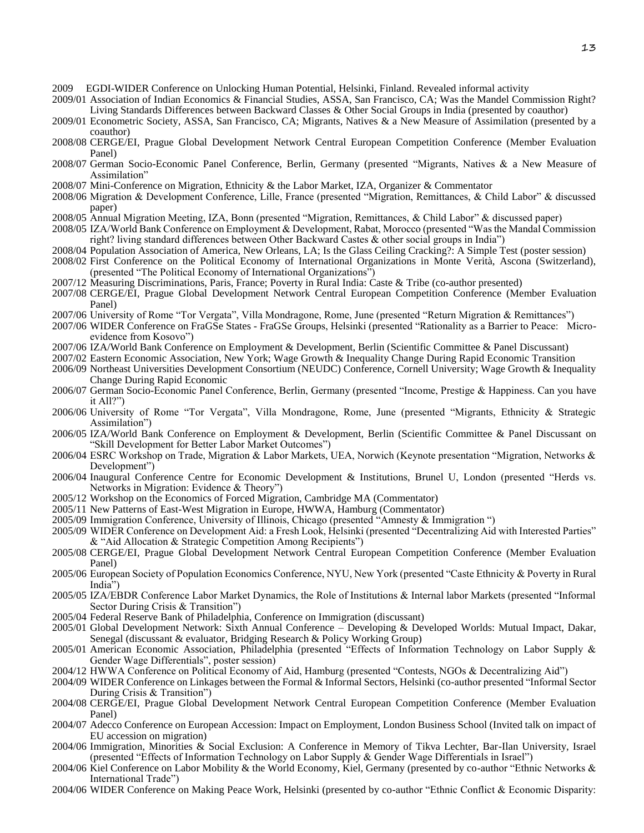- 2009 EGDI-WIDER Conference on Unlocking Human Potential, Helsinki, Finland. Revealed informal activity
- 2009/01 Association of Indian Economics & Financial Studies, ASSA, San Francisco, CA; Was the Mandel Commission Right? Living Standards Differences between Backward Classes & Other Social Groups in India (presented by coauthor)
- 2009/01 Econometric Society, ASSA, San Francisco, CA; Migrants, Natives & a New Measure of Assimilation (presented by a coauthor)
- 2008/08 CERGE/EI, Prague Global Development Network Central European Competition Conference (Member Evaluation Panel)
- 2008/07 German Socio-Economic Panel Conference, Berlin, Germany (presented "Migrants, Natives & a New Measure of Assimilation"
- 2008/07 Mini-Conference on Migration, Ethnicity & the Labor Market, IZA, Organizer & Commentator
- 2008/06 Migration & Development Conference, Lille, France (presented "Migration, Remittances, & Child Labor" & discussed paper)
- 2008/05 Annual Migration Meeting, IZA, Bonn (presented "Migration, Remittances, & Child Labor" & discussed paper)
- 2008/05 IZA/World Bank Conference on Employment & Development, Rabat, Morocco (presented "Was the Mandal Commission right? living standard differences between Other Backward Castes & other social groups in India")
- 2008/04 Population Association of America, New Orleans, LA; Is the Glass Ceiling Cracking?: A Simple Test (poster session)
- 2008/02 First Conference on the Political Economy of International Organizations in Monte Verità, Ascona (Switzerland), (presented "The Political Economy of International Organizations")
- 2007/12 Measuring Discriminations, Paris, France; Poverty in Rural India: Caste & Tribe (co-author presented)
- 2007/08 CERGE/EI, Prague Global Development Network Central European Competition Conference (Member Evaluation Panel)
- 2007/06 University of Rome "Tor Vergata", Villa Mondragone, Rome, June (presented "Return Migration & Remittances")
- 2007/06 WIDER Conference on FraGSe States FraGSe Groups, Helsinki (presented "Rationality as a Barrier to Peace: Microevidence from Kosovo")
- 2007/06 IZA/World Bank Conference on Employment & Development, Berlin (Scientific Committee & Panel Discussant)
- 2007/02 Eastern Economic Association, New York; Wage Growth & Inequality Change During Rapid Economic Transition
- 2006/09 Northeast Universities Development Consortium (NEUDC) Conference, Cornell University; Wage Growth & Inequality Change During Rapid Economic
- 2006/07 German Socio-Economic Panel Conference, Berlin, Germany (presented "Income, Prestige & Happiness. Can you have it All?")
- 2006/06 University of Rome "Tor Vergata", Villa Mondragone, Rome, June (presented "Migrants, Ethnicity & Strategic Assimilation")
- 2006/05 IZA/World Bank Conference on Employment & Development, Berlin (Scientific Committee & Panel Discussant on "Skill Development for Better Labor Market Outcomes")
- 2006/04 ESRC Workshop on Trade, Migration & Labor Markets, UEA, Norwich (Keynote presentation "Migration, Networks & Development")
- 2006/04 Inaugural Conference Centre for Economic Development & Institutions, Brunel U, London (presented "Herds vs. Networks in Migration: Evidence & Theory")
- 2005/12 Workshop on the Economics of Forced Migration, Cambridge MA (Commentator)
- 2005/11 New Patterns of East-West Migration in Europe, HWWA, Hamburg (Commentator)
- 2005/09 Immigration Conference, University of Illinois, Chicago (presented "Amnesty & Immigration ")
- 2005/09 WIDER Conference on Development Aid: a Fresh Look, Helsinki (presented "Decentralizing Aid with Interested Parties" & "Aid Allocation & Strategic Competition Among Recipients")
- 2005/08 CERGE/EI, Prague Global Development Network Central European Competition Conference (Member Evaluation Panel)
- 2005/06 European Society of Population Economics Conference, NYU, New York (presented "Caste Ethnicity & Poverty in Rural India")
- 2005/05 IZA/EBDR Conference Labor Market Dynamics, the Role of Institutions & Internal labor Markets (presented "Informal Sector During Crisis & Transition")
- 2005/04 Federal Reserve Bank of Philadelphia, Conference on Immigration (discussant)
- 2005/01 Global Development Network: Sixth Annual Conference Developing & Developed Worlds: Mutual Impact, Dakar, Senegal (discussant & evaluator, Bridging Research & Policy Working Group)
- 2005/01 American Economic Association, Philadelphia (presented "Effects of Information Technology on Labor Supply & Gender Wage Differentials", poster session)
- 2004/12 HWWA Conference on Political Economy of Aid, Hamburg (presented "Contests, NGOs & Decentralizing Aid")
- 2004/09 WIDER Conference on Linkages between the Formal & Informal Sectors, Helsinki (co-author presented "Informal Sector During Crisis & Transition")
- 2004/08 CERGE/EI, Prague Global Development Network Central European Competition Conference (Member Evaluation Panel)
- 2004/07 Adecco Conference on European Accession: Impact on Employment, London Business School (Invited talk on impact of EU accession on migration)
- 2004/06 Immigration, Minorities & Social Exclusion: A Conference in Memory of Tikva Lechter, Bar-Ilan University, Israel (presented "Effects of Information Technology on Labor Supply & Gender Wage Differentials in Israel")
- 2004/06 Kiel Conference on Labor Mobility & the World Economy, Kiel, Germany (presented by co-author "Ethnic Networks & International Trade")
- 2004/06 WIDER Conference on Making Peace Work, Helsinki (presented by co-author "Ethnic Conflict & Economic Disparity: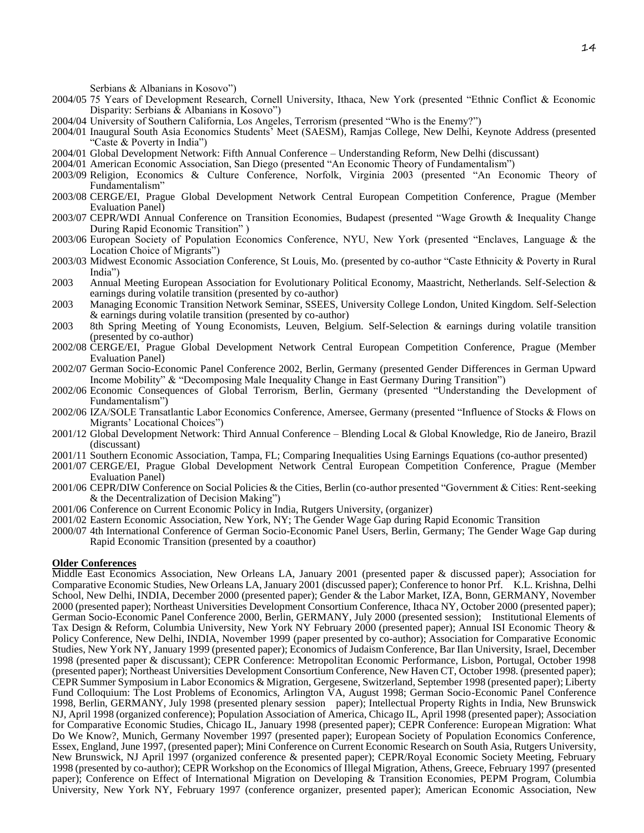Serbians & Albanians in Kosovo")

- 2004/05 75 Years of Development Research, Cornell University, Ithaca, New York (presented "Ethnic Conflict & Economic Disparity: Serbians & Albanians in Kosovo")
- 2004/04 University of Southern California, Los Angeles, Terrorism (presented "Who is the Enemy?")
- 2004/01 Inaugural South Asia Economics Students' Meet (SAESM), Ramjas College, New Delhi, Keynote Address (presented "Caste & Poverty in India")
- 2004/01 Global Development Network: Fifth Annual Conference Understanding Reform, New Delhi (discussant)
- 2004/01 American Economic Association, San Diego (presented "An Economic Theory of Fundamentalism")
- 2003/09 Religion, Economics & Culture Conference, Norfolk, Virginia 2003 (presented "An Economic Theory of Fundamentalism"
- 2003/08 CERGE/EI, Prague Global Development Network Central European Competition Conference, Prague (Member Evaluation Panel)
- 2003/07 CEPR/WDI Annual Conference on Transition Economies, Budapest (presented "Wage Growth & Inequality Change During Rapid Economic Transition" )
- 2003/06 European Society of Population Economics Conference, NYU, New York (presented "Enclaves, Language & the Location Choice of Migrants")
- 2003/03 Midwest Economic Association Conference, St Louis, Mo. (presented by co-author "Caste Ethnicity & Poverty in Rural India")
- 2003 Annual Meeting European Association for Evolutionary Political Economy, Maastricht, Netherlands. Self-Selection & earnings during volatile transition (presented by co-author)
- 2003 Managing Economic Transition Network Seminar, SSEES, University College London, United Kingdom. Self-Selection & earnings during volatile transition (presented by co-author)
- 2003 8th Spring Meeting of Young Economists, Leuven, Belgium. Self-Selection & earnings during volatile transition (presented by co-author)
- 2002/08 CERGE/EI, Prague Global Development Network Central European Competition Conference, Prague (Member Evaluation Panel)
- 2002/07 German Socio-Economic Panel Conference 2002, Berlin, Germany (presented Gender Differences in German Upward Income Mobility" & "Decomposing Male Inequality Change in East Germany During Transition")
- 2002/06 Economic Consequences of Global Terrorism, Berlin, Germany (presented "Understanding the Development of Fundamentalism")
- 2002/06 IZA/SOLE Transatlantic Labor Economics Conference, Amersee, Germany (presented "Influence of Stocks & Flows on Migrants' Locational Choices")
- 2001/12 Global Development Network: Third Annual Conference Blending Local & Global Knowledge, Rio de Janeiro, Brazil (discussant)
- 2001/11 Southern Economic Association, Tampa, FL; Comparing Inequalities Using Earnings Equations (co-author presented)
- 2001/07 CERGE/EI, Prague Global Development Network Central European Competition Conference, Prague (Member Evaluation Panel)
- 2001/06 CEPR/DIW Conference on Social Policies & the Cities, Berlin (co-author presented "Government & Cities: Rent-seeking & the Decentralization of Decision Making")
- 2001/06 Conference on Current Economic Policy in India, Rutgers University, (organizer)
- 2001/02 Eastern Economic Association, New York, NY; The Gender Wage Gap during Rapid Economic Transition
- 2000/07 4th International Conference of German Socio-Economic Panel Users, Berlin, Germany; The Gender Wage Gap during Rapid Economic Transition (presented by a coauthor)

#### **Older Conferences**

Middle East Economics Association, New Orleans LA, January 2001 (presented paper & discussed paper); Association for Comparative Economic Studies, New Orleans LA, January 2001 (discussed paper); Conference to honor Prf. K.L. Krishna, Delhi School, New Delhi, INDIA, December 2000 (presented paper); Gender & the Labor Market, IZA, Bonn, GERMANY, November 2000 (presented paper); Northeast Universities Development Consortium Conference, Ithaca NY, October 2000 (presented paper); German Socio-Economic Panel Conference 2000, Berlin, GERMANY, July 2000 (presented session); Institutional Elements of Tax Design & Reform, Columbia University, New York NY February 2000 (presented paper); Annual ISI Economic Theory & Policy Conference, New Delhi, INDIA, November 1999 (paper presented by co-author); Association for Comparative Economic Studies, New York NY, January 1999 (presented paper); Economics of Judaism Conference, Bar Ilan University, Israel, December 1998 (presented paper & discussant); CEPR Conference: Metropolitan Economic Performance, Lisbon, Portugal, October 1998 (presented paper); Northeast Universities Development Consortium Conference, New Haven CT, October 1998. (presented paper); CEPR Summer Symposium in Labor Economics & Migration, Gergesene, Switzerland, September 1998 (presented paper); Liberty Fund Colloquium: The Lost Problems of Economics, Arlington VA, August 1998; German Socio-Economic Panel Conference 1998, Berlin, GERMANY, July 1998 (presented plenary session paper); Intellectual Property Rights in India, New Brunswick NJ, April 1998 (organized conference); Population Association of America, Chicago IL, April 1998 (presented paper); Association for Comparative Economic Studies, Chicago IL, January 1998 (presented paper); CEPR Conference: European Migration: What Do We Know?, Munich, Germany November 1997 (presented paper); European Society of Population Economics Conference, Essex, England, June 1997, (presented paper); Mini Conference on Current Economic Research on South Asia, Rutgers University, New Brunswick, NJ April 1997 (organized conference & presented paper); CEPR/Royal Economic Society Meeting, February 1998 (presented by co-author); CEPR Workshop on the Economics of Illegal Migration, Athens, Greece, February 1997 (presented paper); Conference on Effect of International Migration on Developing & Transition Economies, PEPM Program, Columbia University, New York NY, February 1997 (conference organizer, presented paper); American Economic Association, New